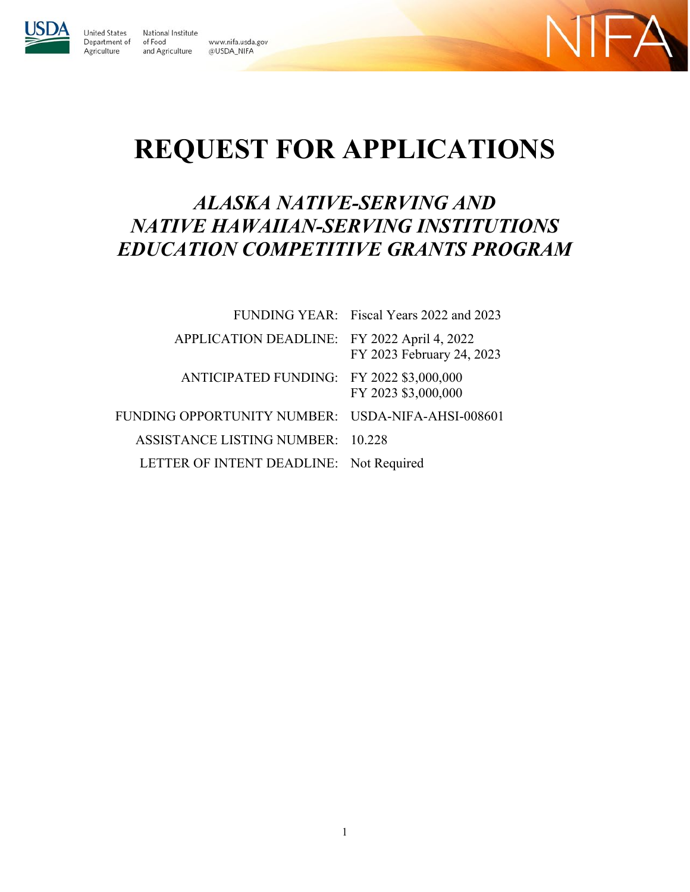

**United States** 

Agriculture

National Institute Department of of Food and Agriculture





# **REQUEST FOR APPLICATIONS**

# *ALASKA NATIVE-SERVING AND NATIVE HAWAIIAN-SERVING INSTITUTIONS EDUCATION COMPETITIVE GRANTS PROGRAM*

|                                                   | FUNDING YEAR: Fiscal Years 2022 and 2023 |
|---------------------------------------------------|------------------------------------------|
| APPLICATION DEADLINE: FY 2022 April 4, 2022       | FY 2023 February 24, 2023                |
| ANTICIPATED FUNDING: FY 2022 \$3,000,000          | FY 2023 \$3,000,000                      |
| FUNDING OPPORTUNITY NUMBER: USDA-NIFA-AHSI-008601 |                                          |
| ASSISTANCE LISTING NUMBER: 10.228                 |                                          |
| LETTER OF INTENT DEADLINE: Not Required           |                                          |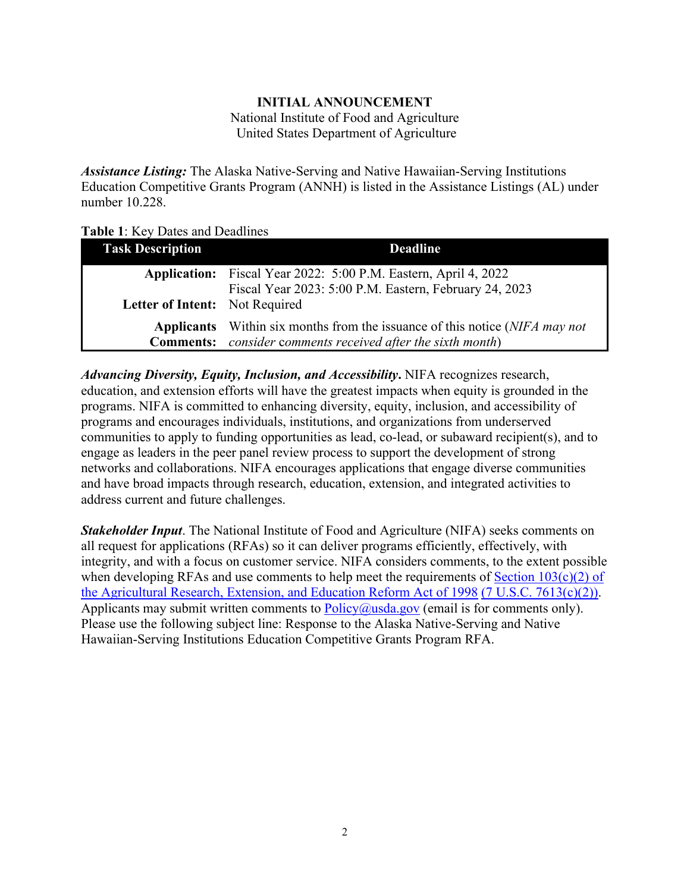### **INITIAL ANNOUNCEMENT** National Institute of Food and Agriculture United States Department of Agriculture

<span id="page-1-0"></span>*Assistance Listing:* The Alaska Native-Serving and Native Hawaiian-Serving Institutions Education Competitive Grants Program (ANNH) is listed in the Assistance Listings (AL) under number 10.228.

<span id="page-1-1"></span>

|  |  |  |  |  | Table 1: Key Dates and Deadlines |
|--|--|--|--|--|----------------------------------|
|--|--|--|--|--|----------------------------------|

| <b>Task Description</b>        | <b>Deadline</b>                                                                                                           |  |  |
|--------------------------------|---------------------------------------------------------------------------------------------------------------------------|--|--|
|                                | Application: Fiscal Year 2022: 5:00 P.M. Eastern, April 4, 2022<br>Fiscal Year 2023: 5:00 P.M. Eastern, February 24, 2023 |  |  |
| Letter of Intent: Not Required |                                                                                                                           |  |  |
|                                | <b>Applicants</b> Within six months from the issuance of this notice (NIFA may not                                        |  |  |
|                                | <b>Comments:</b> consider comments received after the sixth month)                                                        |  |  |

*Advancing Diversity, Equity, Inclusion, and Accessibility***.** NIFA recognizes research, education, and extension efforts will have the greatest impacts when equity is grounded in the programs. NIFA is committed to enhancing diversity, equity, inclusion, and accessibility of programs and encourages individuals, institutions, and organizations from underserved communities to apply to funding opportunities as lead, co-lead, or subaward recipient(s), and to engage as leaders in the peer panel review process to support the development of strong networks and collaborations. NIFA encourages applications that engage diverse communities and have broad impacts through research, education, extension, and integrated activities to address current and future challenges.

*Stakeholder Input*. The National Institute of Food and Agriculture (NIFA) seeks comments on all request for applications (RFAs) so it can deliver programs efficiently, effectively, with integrity, and with a focus on customer service. NIFA considers comments, to the extent possible when developing RFAs and use comments to help meet the requirements of Section  $103(c)(2)$  of [the Agricultural Research, Extension, and Education Reform Act of 1998](https://nifa.usda.gov/resource/agricultural-research-extension-and-education-reform-act-1998) [\(7 U.S.C. 7613\(c\)\(2\)\).](https://uscode.house.gov/view.xhtml?req=(title:7%20section:7613%20edition:prelim)%20OR%20(granuleid:USC-prelim-title7-section7613)&f=treesort&edition=prelim&num=0&jumpTo=true) Applicants may submit written comments to  $Policy@usda.gov$  (email is for comments only). Please use the following subject line: Response to the Alaska Native-Serving and Native Hawaiian-Serving Institutions Education Competitive Grants Program RFA.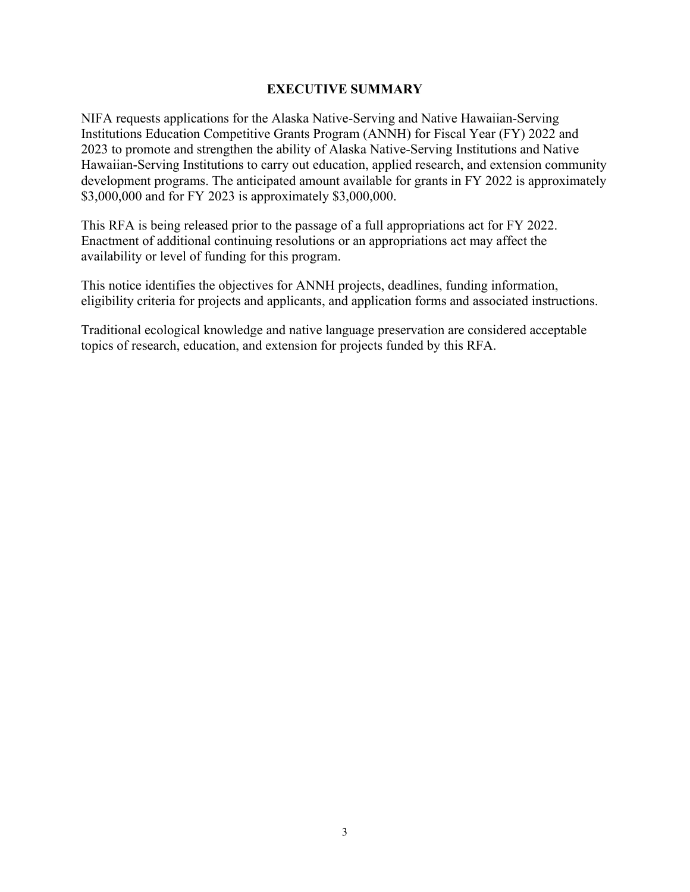#### **EXECUTIVE SUMMARY**

<span id="page-2-0"></span>NIFA requests applications for the Alaska Native-Serving and Native Hawaiian-Serving Institutions Education Competitive Grants Program (ANNH) for Fiscal Year (FY) 2022 and 2023 to promote and strengthen the ability of Alaska Native-Serving Institutions and Native Hawaiian-Serving Institutions to carry out education, applied research, and extension community development programs. The anticipated amount available for grants in FY 2022 is approximately \$3,000,000 and for FY 2023 is approximately \$3,000,000.

This RFA is being released prior to the passage of a full appropriations act for FY 2022. Enactment of additional continuing resolutions or an appropriations act may affect the availability or level of funding for this program.

This notice identifies the objectives for ANNH projects, deadlines, funding information, eligibility criteria for projects and applicants, and application forms and associated instructions.

Traditional ecological knowledge and native language preservation are considered acceptable topics of research, education, and extension for projects funded by this RFA.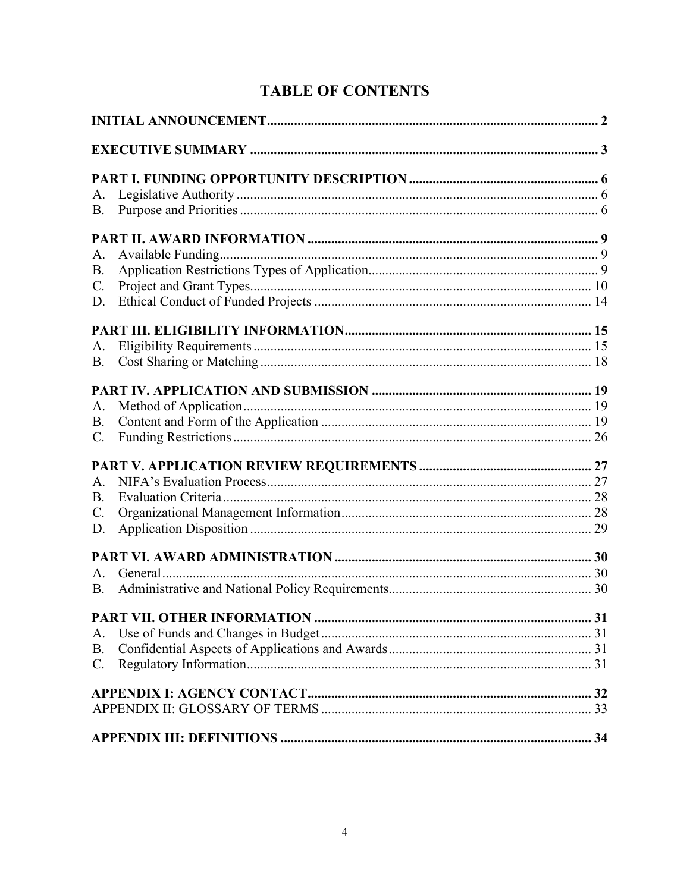# **TABLE OF CONTENTS**

| A.              |  |
|-----------------|--|
| <b>B.</b>       |  |
|                 |  |
| A.              |  |
| <b>B.</b>       |  |
| $\mathbf{C}$ .  |  |
| D.              |  |
|                 |  |
| A.              |  |
| <b>B.</b>       |  |
|                 |  |
| A.              |  |
| B.              |  |
| $\mathbf{C}$ .  |  |
|                 |  |
| A.              |  |
| B.              |  |
| $\mathcal{C}$ . |  |
| D.              |  |
|                 |  |
| A.              |  |
| B.              |  |
|                 |  |
| A.              |  |
| <b>B.</b>       |  |
| $C_{\cdot}$     |  |
|                 |  |
|                 |  |
|                 |  |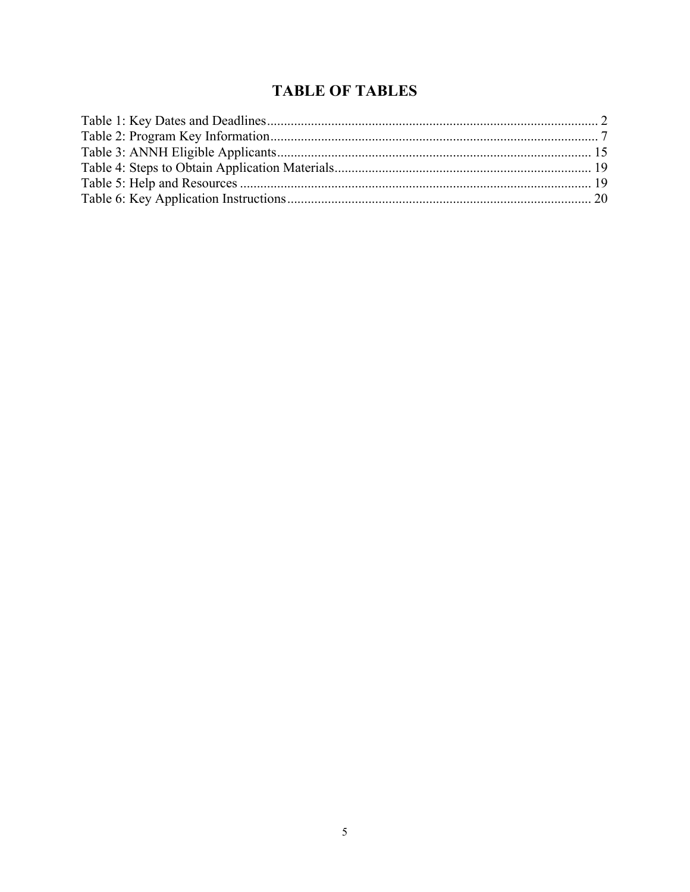## **TABLE OF TABLES**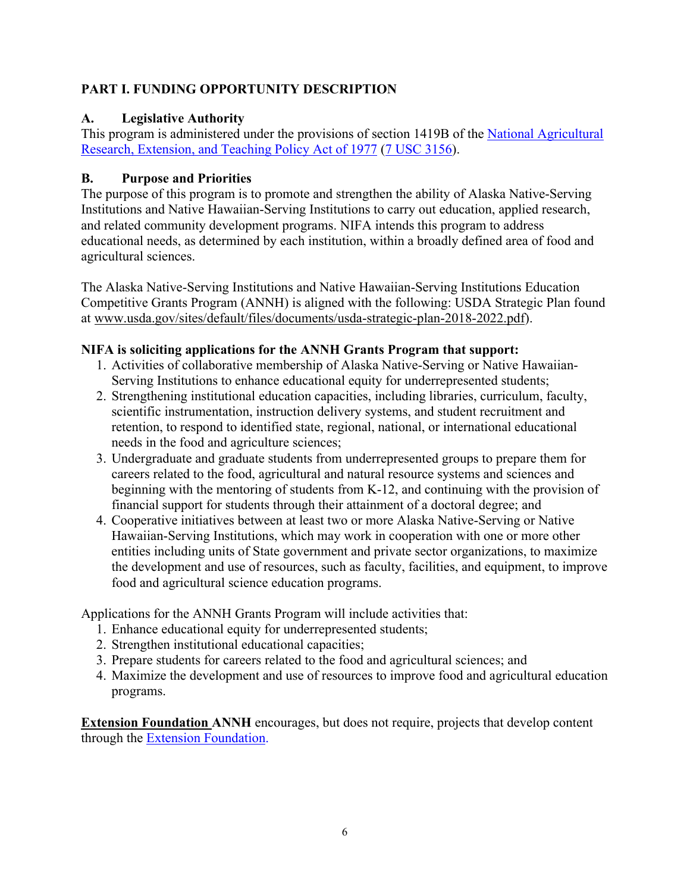### <span id="page-5-0"></span>**PART I. FUNDING OPPORTUNITY DESCRIPTION**

### <span id="page-5-1"></span>**A. Legislative Authority**

This program is administered under the provisions of section 1419B of the [National Agricultural](https://nifa.usda.gov/resource/national-agricultural-research-extension-and-teaching-policy-act-1977)  [Research, Extension, and Teaching Policy Act of 1977](https://nifa.usda.gov/resource/national-agricultural-research-extension-and-teaching-policy-act-1977) [\(7 USC 3156\)](https://uscode.house.gov/view.xhtml?req=(title:7%20%20section:3156%20edition:prelim)%20OR%20(granuleid:USC-prelim-title7%20-section3156)&f=treesort&edition=prelim&num=0&jumpTo=true).

### <span id="page-5-2"></span>**B. Purpose and Priorities**

The purpose of this program is to promote and strengthen the ability of Alaska Native-Serving Institutions and Native Hawaiian-Serving Institutions to carry out education, applied research, and related community development programs. NIFA intends this program to address educational needs, as determined by each institution, within a broadly defined area of food and agricultural sciences.

The Alaska Native-Serving Institutions and Native Hawaiian-Serving Institutions Education Competitive Grants Program (ANNH) is aligned with the following: USDA Strategic Plan found at [www.usda.gov/sites/default/files/documents/usda-strategic-plan-2018-2022.pdf\)](http://www.usda.gov/sites/default/files/documents/usda-strategic-plan-2018-2022.pdf).

### **NIFA is soliciting applications for the ANNH Grants Program that support:**

- 1. Activities of collaborative membership of Alaska Native-Serving or Native Hawaiian-Serving Institutions to enhance educational equity for underrepresented students;
- 2. Strengthening institutional education capacities, including libraries, curriculum, faculty, scientific instrumentation, instruction delivery systems, and student recruitment and retention, to respond to identified state, regional, national, or international educational needs in the food and agriculture sciences;
- 3. Undergraduate and graduate students from underrepresented groups to prepare them for careers related to the food, agricultural and natural resource systems and sciences and beginning with the mentoring of students from K-12, and continuing with the provision of financial support for students through their attainment of a doctoral degree; and
- 4. Cooperative initiatives between at least two or more Alaska Native-Serving or Native Hawaiian-Serving Institutions, which may work in cooperation with one or more other entities including units of State government and private sector organizations, to maximize the development and use of resources, such as faculty, facilities, and equipment, to improve food and agricultural science education programs.

Applications for the ANNH Grants Program will include activities that:

- 1. Enhance educational equity for underrepresented students;
- 2. Strengthen institutional educational capacities;
- 3. Prepare students for careers related to the food and agricultural sciences; and
- 4. Maximize the development and use of resources to improve food and agricultural education programs.

**Extension Foundation ANNH** encourages, but does not require, projects that develop content through the [Extension Foundation.](https://extension.org/)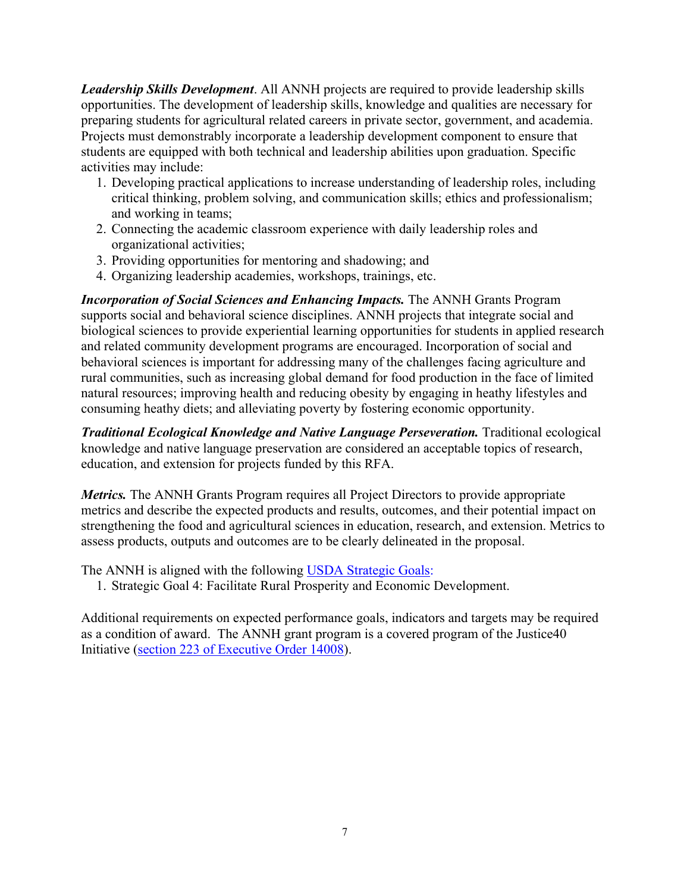*Leadership Skills Development*. All ANNH projects are required to provide leadership skills opportunities. The development of leadership skills, knowledge and qualities are necessary for preparing students for agricultural related careers in private sector, government, and academia. Projects must demonstrably incorporate a leadership development component to ensure that students are equipped with both technical and leadership abilities upon graduation. Specific activities may include:

- 1. Developing practical applications to increase understanding of leadership roles, including critical thinking, problem solving, and communication skills; ethics and professionalism; and working in teams;
- 2. Connecting the academic classroom experience with daily leadership roles and organizational activities;
- 3. Providing opportunities for mentoring and shadowing; and
- 4. Organizing leadership academies, workshops, trainings, etc.

*Incorporation of Social Sciences and Enhancing Impacts.* The ANNH Grants Program supports social and behavioral science disciplines. ANNH projects that integrate social and biological sciences to provide experiential learning opportunities for students in applied research and related community development programs are encouraged. Incorporation of social and behavioral sciences is important for addressing many of the challenges facing agriculture and rural communities, such as increasing global demand for food production in the face of limited natural resources; improving health and reducing obesity by engaging in heathy lifestyles and consuming heathy diets; and alleviating poverty by fostering economic opportunity.

*Traditional Ecological Knowledge and Native Language Perseveration.* Traditional ecological knowledge and native language preservation are considered an acceptable topics of research, education, and extension for projects funded by this RFA.

*Metrics*. The ANNH Grants Program requires all Project Directors to provide appropriate metrics and describe the expected products and results, outcomes, and their potential impact on strengthening the food and agricultural sciences in education, research, and extension. Metrics to assess products, outputs and outcomes are to be clearly delineated in the proposal.

The ANNH is aligned with the following [USDA Strategic](https://www.usda.gov/sites/default/files/documents/usda-strategic-plan-2018-2022.pdf) Goals:

1. Strategic Goal 4: Facilitate Rural Prosperity and Economic Development.

<span id="page-6-0"></span>Additional requirements on expected performance goals, indicators and targets may be required as a condition of award. The ANNH grant program is a covered program of the Justice40 Initiative [\(section 223 of Executive Order 14008\)](https://www.federalregister.gov/documents/2021/02/01/2021-02177/tackling-the-climate-crisis-at-home-and-abroad).).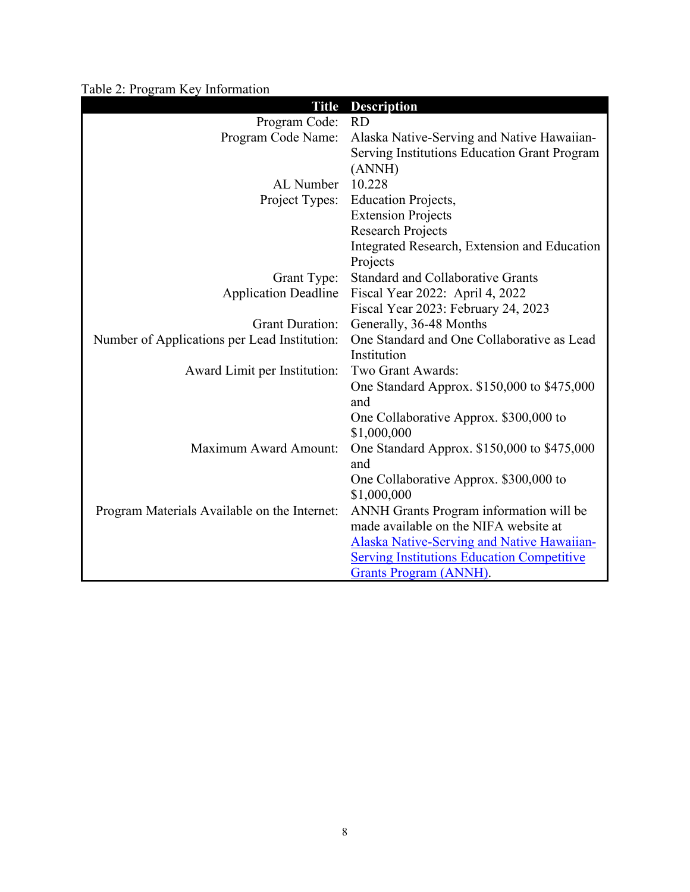Table 2: Program Key Information

| <b>Title</b>                                 | <b>Description</b>                                |
|----------------------------------------------|---------------------------------------------------|
| Program Code:                                | <b>RD</b>                                         |
| Program Code Name:                           | Alaska Native-Serving and Native Hawaiian-        |
|                                              | Serving Institutions Education Grant Program      |
|                                              | (ANNH)                                            |
| AL Number                                    | 10.228                                            |
| Project Types:                               | <b>Education Projects,</b>                        |
|                                              | <b>Extension Projects</b>                         |
|                                              | <b>Research Projects</b>                          |
|                                              | Integrated Research, Extension and Education      |
|                                              | Projects                                          |
| Grant Type:                                  | <b>Standard and Collaborative Grants</b>          |
| <b>Application Deadline</b>                  | Fiscal Year 2022: April 4, 2022                   |
|                                              | Fiscal Year 2023: February 24, 2023               |
| <b>Grant Duration:</b>                       | Generally, 36-48 Months                           |
| Number of Applications per Lead Institution: | One Standard and One Collaborative as Lead        |
|                                              | Institution                                       |
| Award Limit per Institution:                 | Two Grant Awards:                                 |
|                                              | One Standard Approx. \$150,000 to \$475,000       |
|                                              | and                                               |
|                                              | One Collaborative Approx. \$300,000 to            |
|                                              | \$1,000,000                                       |
| Maximum Award Amount:                        | One Standard Approx. \$150,000 to \$475,000       |
|                                              | and                                               |
|                                              | One Collaborative Approx. \$300,000 to            |
|                                              | \$1,000,000                                       |
| Program Materials Available on the Internet: | ANNH Grants Program information will be           |
|                                              | made available on the NIFA website at             |
|                                              | <b>Alaska Native-Serving and Native Hawaiian-</b> |
|                                              | <b>Serving Institutions Education Competitive</b> |
|                                              | <b>Grants Program (ANNH).</b>                     |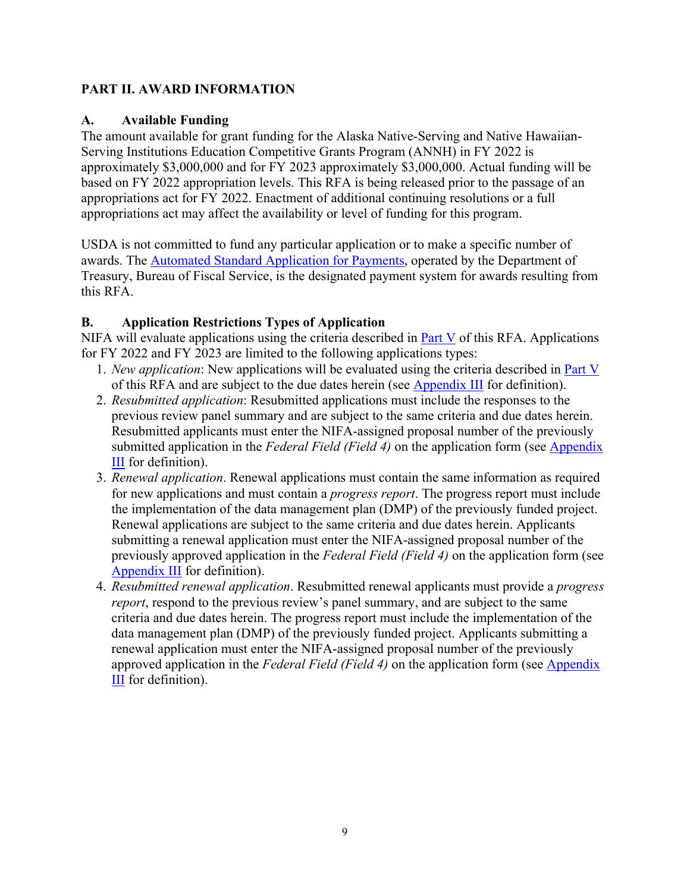### <span id="page-8-0"></span>**PART II. AWARD INFORMATION**

### <span id="page-8-1"></span>**A. Available Funding**

The amount available for grant funding for the Alaska Native-Serving and Native Hawaiian-Serving Institutions Education Competitive Grants Program (ANNH) in FY 2022 is approximately \$3,000,000 and for FY 2023 approximately \$3,000,000. Actual funding will be based on FY 2022 appropriation levels. This RFA is being released prior to the passage of an appropriations act for FY 2022. Enactment of additional continuing resolutions or a full appropriations act may affect the availability or level of funding for this program.

USDA is not committed to fund any particular application or to make a specific number of awards. The [Automated Standard Application for Payments,](https://www.fiscal.treasury.gov/fsservices/gov/pmt/asap/asap_home.htm) operated by the Department of Treasury, Bureau of Fiscal Service, is the designated payment system for awards resulting from this RFA.

### <span id="page-8-2"></span>**B. Application Restrictions Types of Application**

NIFA will evaluate applications using the criteria described in [Part V](#page-26-0) of this RFA. Applications for FY 2022 and FY 2023 are limited to the following applications types:

- 1. *New application*: New applications will be evaluated using the criteria described in [Part V](#page-26-0) of this RFA and are subject to the due dates herein (see [Appendix III](#page-33-0) for definition).
- 2. *Resubmitted application*: Resubmitted applications must include the responses to the previous review panel summary and are subject to the same criteria and due dates herein. Resubmitted applicants must enter the NIFA-assigned proposal number of the previously submitted application in the *Federal Field (Field 4)* on the application form (see [Appendix](#page-33-0)  **[III](#page-33-0)** for definition).
- 3. *Renewal application*. Renewal applications must contain the same information as required for new applications and must contain a *progress report*. The progress report must include the implementation of the data management plan (DMP) of the previously funded project. Renewal applications are subject to the same criteria and due dates herein. Applicants submitting a renewal application must enter the NIFA-assigned proposal number of the previously approved application in the *Federal Field (Field 4)* on the application form (see [Appendix III](#page-33-0) for definition).
- 4. *Resubmitted renewal application*. Resubmitted renewal applicants must provide a *progress report*, respond to the previous review's panel summary, and are subject to the same criteria and due dates herein. The progress report must include the implementation of the data management plan (DMP) of the previously funded project. Applicants submitting a renewal application must enter the NIFA-assigned proposal number of the previously approved application in the *Federal Field (Field 4)* on the application form (see [Appendix](#page-33-0)  [III](#page-33-0) for definition).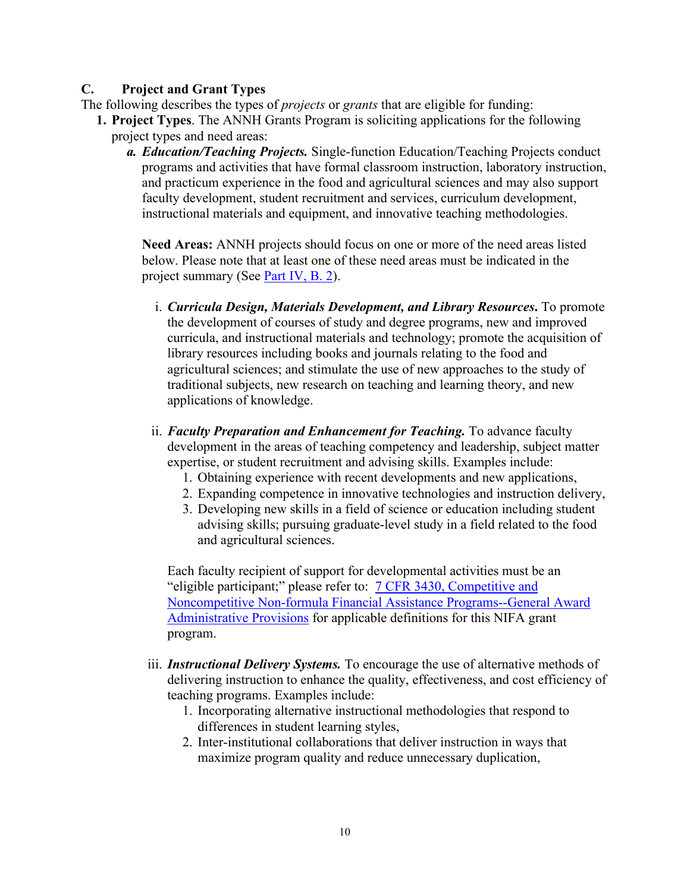### <span id="page-9-0"></span>**C. Project and Grant Types**

- The following describes the types of *projects* or *grants* that are eligible for funding:
	- **1. Project Types**. The ANNH Grants Program is soliciting applications for the following project types and need areas:
		- *a. Education/Teaching Projects.* Single-function Education/Teaching Projects conduct programs and activities that have formal classroom instruction, laboratory instruction, and practicum experience in the food and agricultural sciences and may also support faculty development, student recruitment and services, curriculum development, instructional materials and equipment, and innovative teaching methodologies.

**Need Areas:** ANNH projects should focus on one or more of the need areas listed below. Please note that at least one of these need areas must be indicated in the project summary (See [Part IV, B. 2\)](#page-18-2).

- i. *Curricula Design, Materials Development, and Library Resources***.** To promote the development of courses of study and degree programs, new and improved curricula, and instructional materials and technology; promote the acquisition of library resources including books and journals relating to the food and agricultural sciences; and stimulate the use of new approaches to the study of traditional subjects, new research on teaching and learning theory, and new applications of knowledge.
- ii. *Faculty Preparation and Enhancement for Teaching.* To advance faculty development in the areas of teaching competency and leadership, subject matter expertise, or student recruitment and advising skills. Examples include:
	- 1. Obtaining experience with recent developments and new applications,
	- 2. Expanding competence in innovative technologies and instruction delivery,
	- 3. Developing new skills in a field of science or education including student advising skills; pursuing graduate-level study in a field related to the food and agricultural sciences.

Each faculty recipient of support for developmental activities must be an "eligible participant;" please refer to: [7 CFR 3430, Competitive and](https://www.ecfr.gov/cgi-bin/text-idx?c=ecfr&SID=2a6f6bfbef4c918616eebe5353d0793c&rgn=div5&view=text&node=7%3A15.1.12.2.13&idno=7&7%3A15.1.12.2.13.1.17.2)  [Noncompetitive Non-formula Financial Assistance Programs--General Award](https://www.ecfr.gov/cgi-bin/text-idx?c=ecfr&SID=2a6f6bfbef4c918616eebe5353d0793c&rgn=div5&view=text&node=7%3A15.1.12.2.13&idno=7&7%3A15.1.12.2.13.1.17.2)  [Administrative Provisions](https://www.ecfr.gov/cgi-bin/text-idx?c=ecfr&SID=2a6f6bfbef4c918616eebe5353d0793c&rgn=div5&view=text&node=7%3A15.1.12.2.13&idno=7&7%3A15.1.12.2.13.1.17.2) for applicable definitions for this NIFA grant program.

- iii. *Instructional Delivery Systems.* To encourage the use of alternative methods of delivering instruction to enhance the quality, effectiveness, and cost efficiency of teaching programs. Examples include:
	- 1. Incorporating alternative instructional methodologies that respond to differences in student learning styles,
	- 2. Inter-institutional collaborations that deliver instruction in ways that maximize program quality and reduce unnecessary duplication,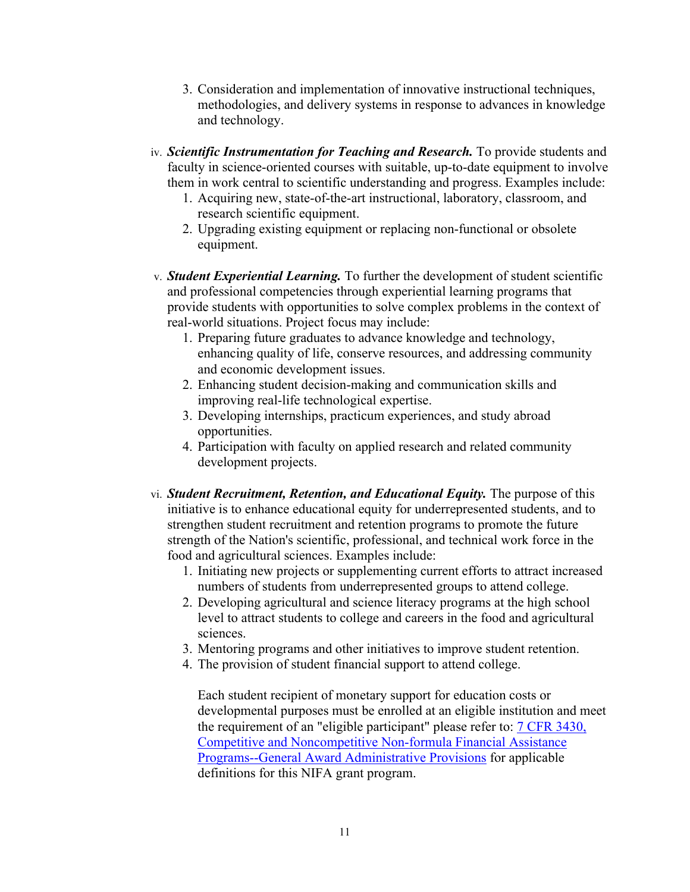- 3. Consideration and implementation of innovative instructional techniques, methodologies, and delivery systems in response to advances in knowledge and technology.
- iv. *Scientific Instrumentation for Teaching and Research.* To provide students and faculty in science-oriented courses with suitable, up-to-date equipment to involve them in work central to scientific understanding and progress. Examples include:
	- 1. Acquiring new, state-of-the-art instructional, laboratory, classroom, and research scientific equipment.
	- 2. Upgrading existing equipment or replacing non-functional or obsolete equipment.
- v. *Student Experiential Learning.* To further the development of student scientific and professional competencies through experiential learning programs that provide students with opportunities to solve complex problems in the context of real-world situations. Project focus may include:
	- 1. Preparing future graduates to advance knowledge and technology, enhancing quality of life, conserve resources, and addressing community and economic development issues.
	- 2. Enhancing student decision-making and communication skills and improving real-life technological expertise.
	- 3. Developing internships, practicum experiences, and study abroad opportunities.
	- 4. Participation with faculty on applied research and related community development projects.
- vi. *Student Recruitment, Retention, and Educational Equity.* The purpose of this initiative is to enhance educational equity for underrepresented students, and to strengthen student recruitment and retention programs to promote the future strength of the Nation's scientific, professional, and technical work force in the food and agricultural sciences. Examples include:
	- 1. Initiating new projects or supplementing current efforts to attract increased numbers of students from underrepresented groups to attend college.
	- 2. Developing agricultural and science literacy programs at the high school level to attract students to college and careers in the food and agricultural sciences.
	- 3. Mentoring programs and other initiatives to improve student retention.
	- 4. The provision of student financial support to attend college.

Each student recipient of monetary support for education costs or developmental purposes must be enrolled at an eligible institution and meet the requirement of an "eligible participant" please refer to: [7 CFR 3430,](https://www.ecfr.gov/current/title-7/subtitle-B/chapter-XXXIV/part-3430)  [Competitive and Noncompetitive Non-formula Financial Assistance](https://www.ecfr.gov/current/title-7/subtitle-B/chapter-XXXIV/part-3430)  [Programs--General Award Administrative Provisions](https://www.ecfr.gov/current/title-7/subtitle-B/chapter-XXXIV/part-3430) for applicable definitions for this NIFA grant program.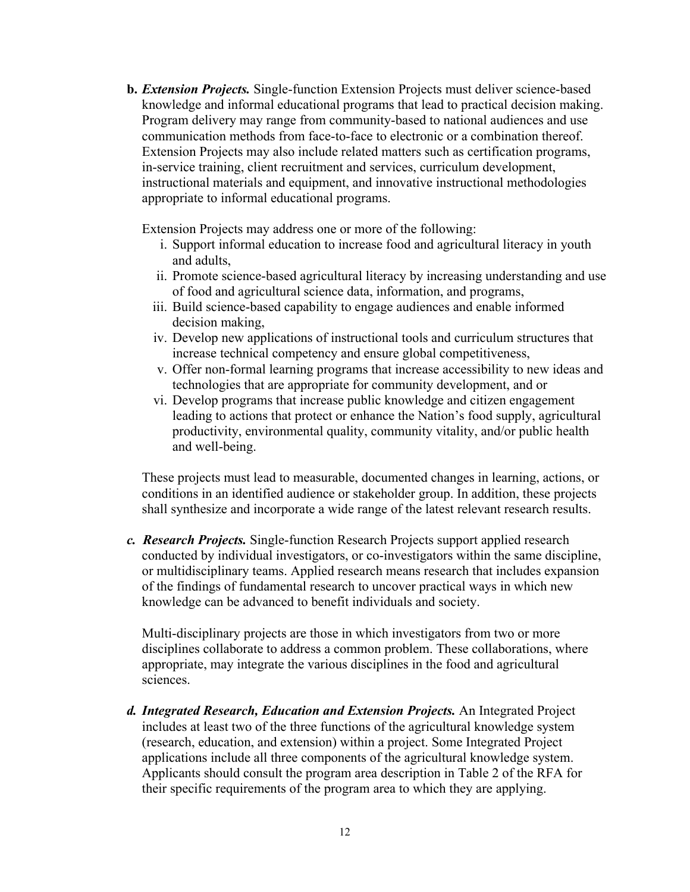**b.** *Extension Projects.* Single-function Extension Projects must deliver science-based knowledge and informal educational programs that lead to practical decision making. Program delivery may range from community-based to national audiences and use communication methods from face-to-face to electronic or a combination thereof. Extension Projects may also include related matters such as certification programs, in-service training, client recruitment and services, curriculum development, instructional materials and equipment, and innovative instructional methodologies appropriate to informal educational programs.

Extension Projects may address one or more of the following:

- i. Support informal education to increase food and agricultural literacy in youth and adults,
- ii. Promote science-based agricultural literacy by increasing understanding and use of food and agricultural science data, information, and programs,
- iii. Build science-based capability to engage audiences and enable informed decision making,
- iv. Develop new applications of instructional tools and curriculum structures that increase technical competency and ensure global competitiveness,
- v. Offer non-formal learning programs that increase accessibility to new ideas and technologies that are appropriate for community development, and or
- vi. Develop programs that increase public knowledge and citizen engagement leading to actions that protect or enhance the Nation's food supply, agricultural productivity, environmental quality, community vitality, and/or public health and well-being.

These projects must lead to measurable, documented changes in learning, actions, or conditions in an identified audience or stakeholder group. In addition, these projects shall synthesize and incorporate a wide range of the latest relevant research results.

*c. Research Projects.* Single-function Research Projects support applied research conducted by individual investigators, or co-investigators within the same discipline, or multidisciplinary teams. Applied research means research that includes expansion of the findings of fundamental research to uncover practical ways in which new knowledge can be advanced to benefit individuals and society.

Multi-disciplinary projects are those in which investigators from two or more disciplines collaborate to address a common problem. These collaborations, where appropriate, may integrate the various disciplines in the food and agricultural sciences.

*d. Integrated Research, Education and Extension Projects.* An Integrated Project includes at least two of the three functions of the agricultural knowledge system (research, education, and extension) within a project. Some Integrated Project applications include all three components of the agricultural knowledge system. Applicants should consult the program area description in Table 2 of the RFA for their specific requirements of the program area to which they are applying.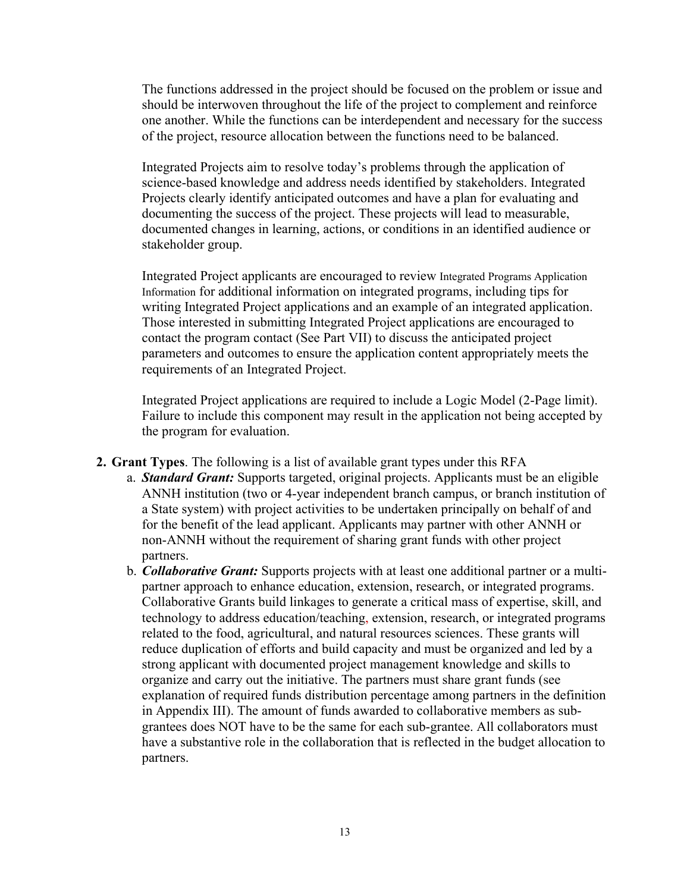The functions addressed in the project should be focused on the problem or issue and should be interwoven throughout the life of the project to complement and reinforce one another. While the functions can be interdependent and necessary for the success of the project, resource allocation between the functions need to be balanced.

Integrated Projects aim to resolve today's problems through the application of science-based knowledge and address needs identified by stakeholders. Integrated Projects clearly identify anticipated outcomes and have a plan for evaluating and documenting the success of the project. These projects will lead to measurable, documented changes in learning, actions, or conditions in an identified audience or stakeholder group.

Integrated Project applicants are encouraged to review [Integrated Programs Application](https://nifa.usda.gov/resource/integrated-programs-application-information)  [Information](https://nifa.usda.gov/resource/integrated-programs-application-information) for additional information on integrated programs, including tips for writing Integrated Project applications and an example of an integrated application. Those interested in submitting Integrated Project applications are encouraged to contact the program contact (See Part VII) to discuss the anticipated project parameters and outcomes to ensure the application content appropriately meets the requirements of an Integrated Project.

Integrated Project applications are required to include a Logic Model (2-Page limit). Failure to include this component may result in the application not being accepted by the program for evaluation.

- **2. Grant Types**. The following is a list of available grant types under this RFA
	- a. *Standard Grant:* Supports targeted, original projects. Applicants must be an eligible ANNH institution (two or 4-year independent branch campus, or branch institution of a State system) with project activities to be undertaken principally on behalf of and for the benefit of the lead applicant. Applicants may partner with other ANNH or non-ANNH without the requirement of sharing grant funds with other project partners.
	- b. *Collaborative Grant:* Supports projects with at least one additional partner or a multipartner approach to enhance education, extension, research, or integrated programs. Collaborative Grants build linkages to generate a critical mass of expertise, skill, and technology to address education/teaching, extension, research, or integrated programs related to the food, agricultural, and natural resources sciences. These grants will reduce duplication of efforts and build capacity and must be organized and led by a strong applicant with documented project management knowledge and skills to organize and carry out the initiative. The partners must share grant funds (see explanation of required funds distribution percentage among partners in the definition in Appendix III). The amount of funds awarded to collaborative members as subgrantees does NOT have to be the same for each sub-grantee. All collaborators must have a substantive role in the collaboration that is reflected in the budget allocation to partners.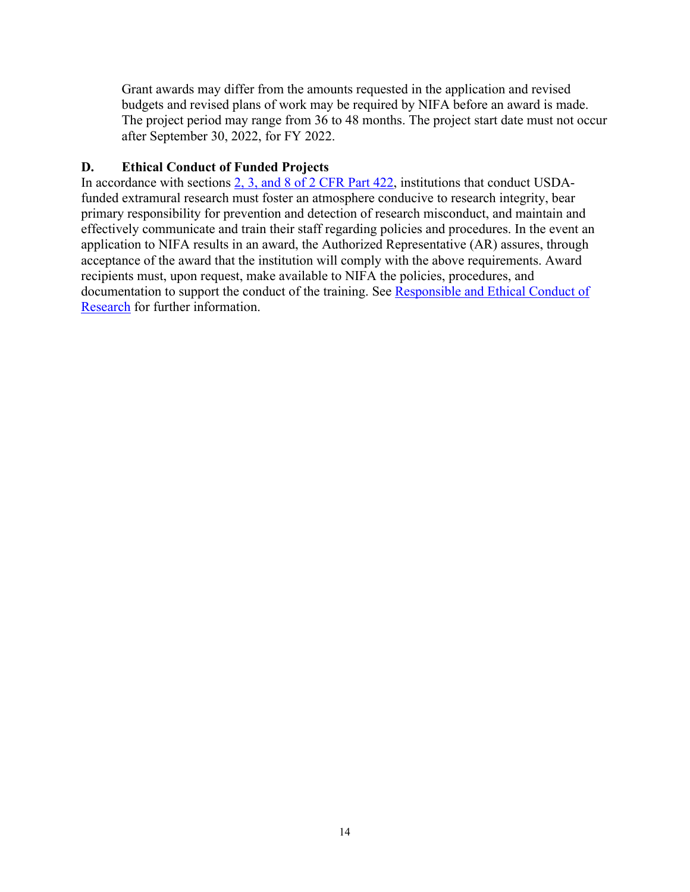Grant awards may differ from the amounts requested in the application and revised budgets and revised plans of work may be required by NIFA before an award is made. The project period may range from 36 to 48 months. The project start date must not occur after September 30, 2022, for FY 2022.

### <span id="page-13-0"></span>**D. Ethical Conduct of Funded Projects**

In accordance with sections [2, 3, and 8 of 2 CFR Part 422,](https://www.ecfr.gov/current/title-2/subtitle-B/chapter-IV/part-422) institutions that conduct USDAfunded extramural research must foster an atmosphere conducive to research integrity, bear primary responsibility for prevention and detection of research misconduct, and maintain and effectively communicate and train their staff regarding policies and procedures. In the event an application to NIFA results in an award, the Authorized Representative (AR) assures, through acceptance of the award that the institution will comply with the above requirements. Award recipients must, upon request, make available to NIFA the policies, procedures, and documentation to support the conduct of the training. See [Responsible and Ethical Conduct of](https://nifa.usda.gov/responsible-and-ethical-conduct-research)  [Research](https://nifa.usda.gov/responsible-and-ethical-conduct-research) for further information.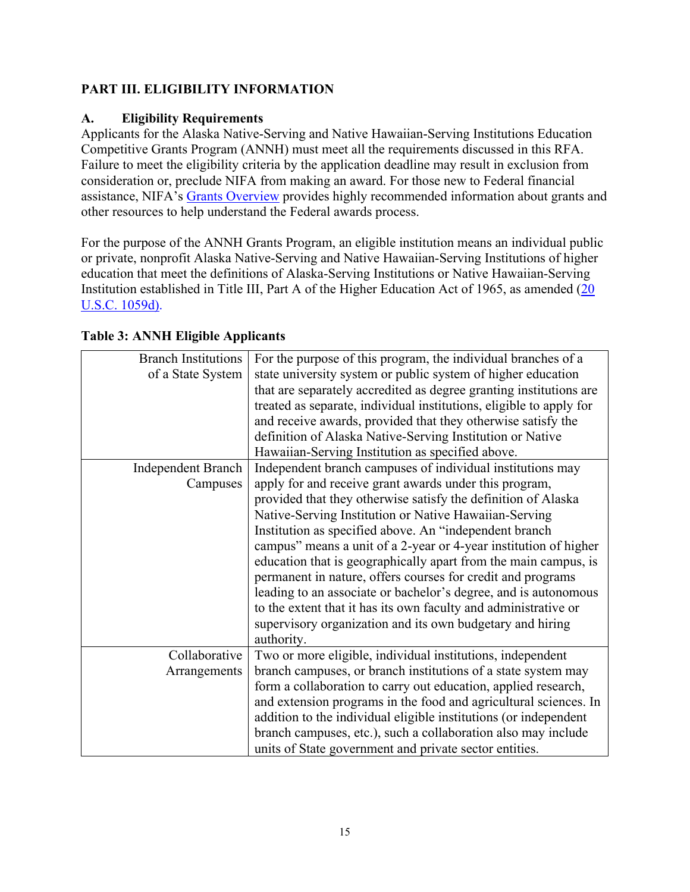### <span id="page-14-0"></span>**PART III. ELIGIBILITY INFORMATION**

### <span id="page-14-1"></span>**A. Eligibility Requirements**

Applicants for the Alaska Native-Serving and Native Hawaiian-Serving Institutions Education Competitive Grants Program (ANNH) must meet all the requirements discussed in this RFA. Failure to meet the eligibility criteria by the application deadline may result in exclusion from consideration or, preclude NIFA from making an award. For those new to Federal financial assistance, NIFA's [Grants Overview](https://nifa.usda.gov/resource/grants-overview) provides highly recommended information about grants and other resources to help understand the Federal awards process.

For the purpose of the ANNH Grants Program, an eligible institution means an individual public or private, nonprofit Alaska Native-Serving and Native Hawaiian-Serving Institutions of higher education that meet the definitions of Alaska-Serving Institutions or Native Hawaiian-Serving Institution established in Title III, Part A of the Higher Education Act of 1965, as amended (20 [U.S.C. 1059d\).](https://uscode.house.gov/view.xhtml?hl=false&edition=prelim&req=granuleid%3AUSC-prelim-title20-section1059d&f=treesort&num=0&saved=%7CKHRpdGxlOjIwIHNlY3Rpb246MTA1OSBlZGl0aW9uOnByZWxpbSkgT1IgKGdyYW51bGVpZDpVU0MtcHJlbGltLXRpdGxlMjAtc2VjdGlvbjEwNTkp%7CdHJlZXNvcnQ%3D%7C%7C0%7Cfalse%7Cprelim)

| <b>Branch Institutions</b><br>of a State System | For the purpose of this program, the individual branches of a<br>state university system or public system of higher education<br>that are separately accredited as degree granting institutions are<br>treated as separate, individual institutions, eligible to apply for<br>and receive awards, provided that they otherwise satisfy the<br>definition of Alaska Native-Serving Institution or Native<br>Hawaiian-Serving Institution as specified above. |
|-------------------------------------------------|-------------------------------------------------------------------------------------------------------------------------------------------------------------------------------------------------------------------------------------------------------------------------------------------------------------------------------------------------------------------------------------------------------------------------------------------------------------|
| <b>Independent Branch</b>                       | Independent branch campuses of individual institutions may                                                                                                                                                                                                                                                                                                                                                                                                  |
| Campuses                                        | apply for and receive grant awards under this program,                                                                                                                                                                                                                                                                                                                                                                                                      |
|                                                 | provided that they otherwise satisfy the definition of Alaska                                                                                                                                                                                                                                                                                                                                                                                               |
|                                                 | Native-Serving Institution or Native Hawaiian-Serving                                                                                                                                                                                                                                                                                                                                                                                                       |
|                                                 |                                                                                                                                                                                                                                                                                                                                                                                                                                                             |
|                                                 | Institution as specified above. An "independent branch                                                                                                                                                                                                                                                                                                                                                                                                      |
|                                                 | campus" means a unit of a 2-year or 4-year institution of higher                                                                                                                                                                                                                                                                                                                                                                                            |
|                                                 | education that is geographically apart from the main campus, is                                                                                                                                                                                                                                                                                                                                                                                             |
|                                                 | permanent in nature, offers courses for credit and programs                                                                                                                                                                                                                                                                                                                                                                                                 |
|                                                 | leading to an associate or bachelor's degree, and is autonomous                                                                                                                                                                                                                                                                                                                                                                                             |
|                                                 | to the extent that it has its own faculty and administrative or                                                                                                                                                                                                                                                                                                                                                                                             |
|                                                 | supervisory organization and its own budgetary and hiring                                                                                                                                                                                                                                                                                                                                                                                                   |
|                                                 | authority.                                                                                                                                                                                                                                                                                                                                                                                                                                                  |
| Collaborative                                   | Two or more eligible, individual institutions, independent                                                                                                                                                                                                                                                                                                                                                                                                  |
| Arrangements                                    | branch campuses, or branch institutions of a state system may                                                                                                                                                                                                                                                                                                                                                                                               |
|                                                 | form a collaboration to carry out education, applied research,                                                                                                                                                                                                                                                                                                                                                                                              |
|                                                 | and extension programs in the food and agricultural sciences. In                                                                                                                                                                                                                                                                                                                                                                                            |
|                                                 | addition to the individual eligible institutions (or independent                                                                                                                                                                                                                                                                                                                                                                                            |
|                                                 | branch campuses, etc.), such a collaboration also may include                                                                                                                                                                                                                                                                                                                                                                                               |
|                                                 |                                                                                                                                                                                                                                                                                                                                                                                                                                                             |
|                                                 | units of State government and private sector entities.                                                                                                                                                                                                                                                                                                                                                                                                      |

<span id="page-14-2"></span>**Table 3: ANNH Eligible Applicants**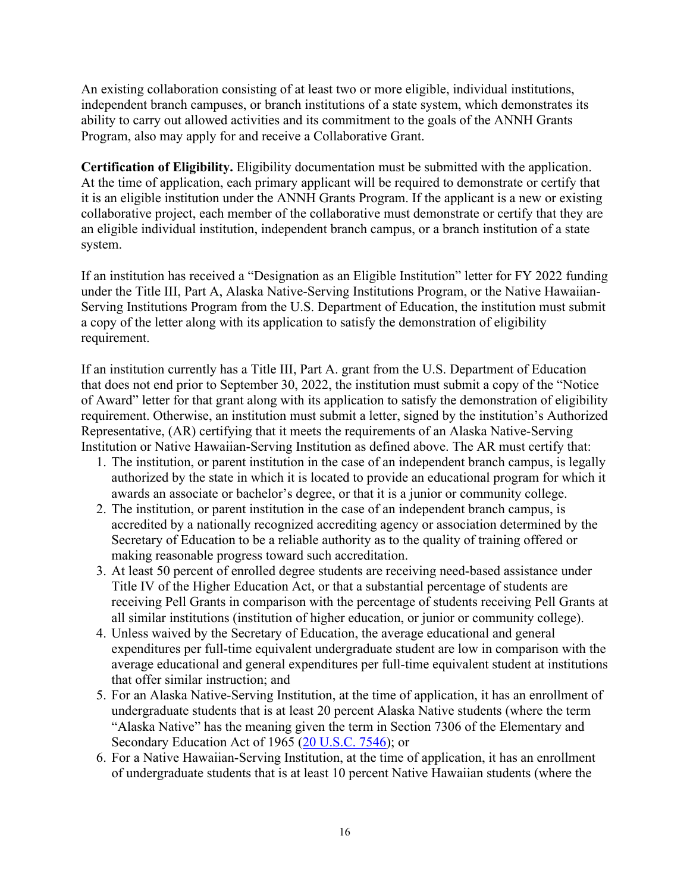An existing collaboration consisting of at least two or more eligible, individual institutions, independent branch campuses, or branch institutions of a state system, which demonstrates its ability to carry out allowed activities and its commitment to the goals of the ANNH Grants Program, also may apply for and receive a Collaborative Grant.

**Certification of Eligibility.** Eligibility documentation must be submitted with the application. At the time of application, each primary applicant will be required to demonstrate or certify that it is an eligible institution under the ANNH Grants Program. If the applicant is a new or existing collaborative project, each member of the collaborative must demonstrate or certify that they are an eligible individual institution, independent branch campus, or a branch institution of a state system.

If an institution has received a "Designation as an Eligible Institution" letter for FY 2022 funding under the Title III, Part A, Alaska Native-Serving Institutions Program, or the Native Hawaiian-Serving Institutions Program from the U.S. Department of Education, the institution must submit a copy of the letter along with its application to satisfy the demonstration of eligibility requirement.

If an institution currently has a Title III, Part A. grant from the U.S. Department of Education that does not end prior to September 30, 2022, the institution must submit a copy of the "Notice of Award" letter for that grant along with its application to satisfy the demonstration of eligibility requirement. Otherwise, an institution must submit a letter, signed by the institution's Authorized Representative, (AR) certifying that it meets the requirements of an Alaska Native-Serving Institution or Native Hawaiian-Serving Institution as defined above. The AR must certify that:

- 1. The institution, or parent institution in the case of an independent branch campus, is legally authorized by the state in which it is located to provide an educational program for which it awards an associate or bachelor's degree, or that it is a junior or community college.
- 2. The institution, or parent institution in the case of an independent branch campus, is accredited by a nationally recognized accrediting agency or association determined by the Secretary of Education to be a reliable authority as to the quality of training offered or making reasonable progress toward such accreditation.
- 3. At least 50 percent of enrolled degree students are receiving need-based assistance under Title IV of the Higher Education Act, or that a substantial percentage of students are receiving Pell Grants in comparison with the percentage of students receiving Pell Grants at all similar institutions (institution of higher education, or junior or community college).
- 4. Unless waived by the Secretary of Education, the average educational and general expenditures per full-time equivalent undergraduate student are low in comparison with the average educational and general expenditures per full-time equivalent student at institutions that offer similar instruction; and
- 5. For an Alaska Native-Serving Institution, at the time of application, it has an enrollment of undergraduate students that is at least 20 percent Alaska Native students (where the term "Alaska Native" has the meaning given the term in Section 7306 of the Elementary and Secondary Education Act of 1965 [\(20 U.S.C. 7546\)](https://uscode.house.gov/view.xhtml?req=(title:20%20section:7546%20edition:prelim)%20OR%20(granuleid:USC-prelim-title20-section7546)&f=treesort&edition=prelim&num=0&jumpTo=true); or
- 6. For a Native Hawaiian-Serving Institution, at the time of application, it has an enrollment of undergraduate students that is at least 10 percent Native Hawaiian students (where the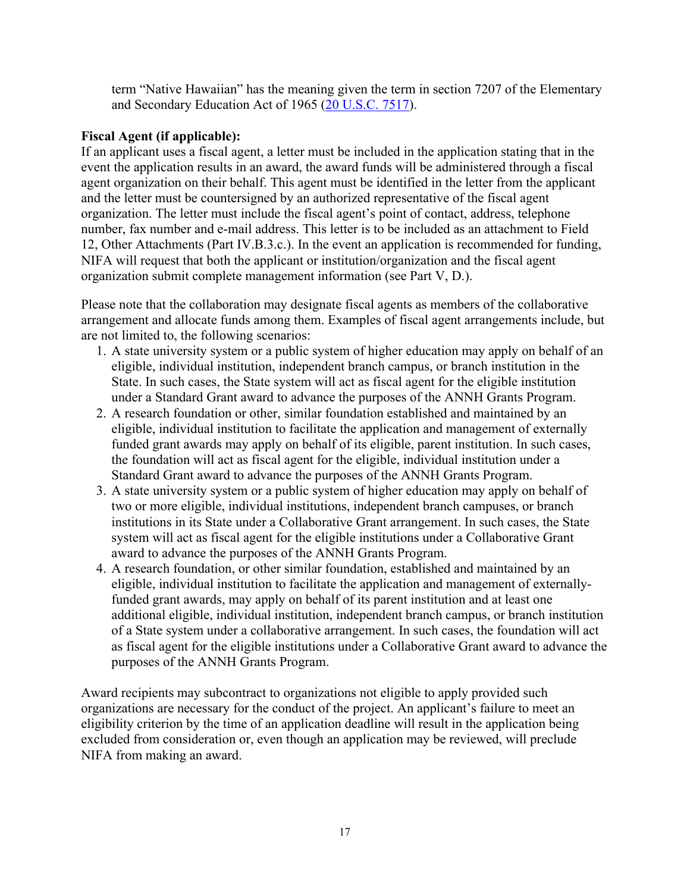term "Native Hawaiian" has the meaning given the term in section 7207 of the Elementary and Secondary Education Act of 1965 [\(20 U.S.C. 7517\)](https://uscode.house.gov/view.xhtml?req=(title:20%20section:7517%20edition:prelim)%20OR%20(granuleid:USC-prelim-title20-section7517)&f=treesort&edition=prelim&num=0&jumpTo=true).

### **Fiscal Agent (if applicable):**

If an applicant uses a fiscal agent, a letter must be included in the application stating that in the event the application results in an award, the award funds will be administered through a fiscal agent organization on their behalf. This agent must be identified in the letter from the applicant and the letter must be countersigned by an authorized representative of the fiscal agent organization. The letter must include the fiscal agent's point of contact, address, telephone number, fax number and e-mail address. This letter is to be included as an attachment to Field 12, Other Attachments (Part IV.B.3.c.). In the event an application is recommended for funding, NIFA will request that both the applicant or institution/organization and the fiscal agent organization submit complete management information (see Part V, D.).

Please note that the collaboration may designate fiscal agents as members of the collaborative arrangement and allocate funds among them. Examples of fiscal agent arrangements include, but are not limited to, the following scenarios:

- 1. A state university system or a public system of higher education may apply on behalf of an eligible, individual institution, independent branch campus, or branch institution in the State. In such cases, the State system will act as fiscal agent for the eligible institution under a Standard Grant award to advance the purposes of the ANNH Grants Program.
- 2. A research foundation or other, similar foundation established and maintained by an eligible, individual institution to facilitate the application and management of externally funded grant awards may apply on behalf of its eligible, parent institution. In such cases, the foundation will act as fiscal agent for the eligible, individual institution under a Standard Grant award to advance the purposes of the ANNH Grants Program.
- 3. A state university system or a public system of higher education may apply on behalf of two or more eligible, individual institutions, independent branch campuses, or branch institutions in its State under a Collaborative Grant arrangement. In such cases, the State system will act as fiscal agent for the eligible institutions under a Collaborative Grant award to advance the purposes of the ANNH Grants Program.
- 4. A research foundation, or other similar foundation, established and maintained by an eligible, individual institution to facilitate the application and management of externallyfunded grant awards, may apply on behalf of its parent institution and at least one additional eligible, individual institution, independent branch campus, or branch institution of a State system under a collaborative arrangement. In such cases, the foundation will act as fiscal agent for the eligible institutions under a Collaborative Grant award to advance the purposes of the ANNH Grants Program.

Award recipients may subcontract to organizations not eligible to apply provided such organizations are necessary for the conduct of the project. An applicant's failure to meet an eligibility criterion by the time of an application deadline will result in the application being excluded from consideration or, even though an application may be reviewed, will preclude NIFA from making an award.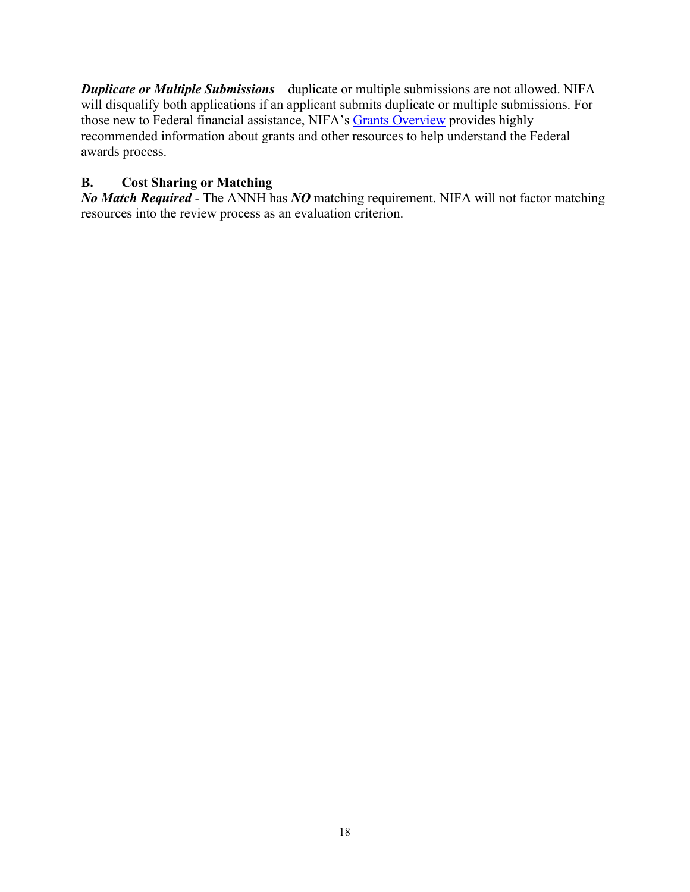*Duplicate or Multiple Submissions* – duplicate or multiple submissions are not allowed. NIFA will disqualify both applications if an applicant submits duplicate or multiple submissions. For those new to Federal financial assistance, NIFA's [Grants Overview](https://nifa.usda.gov/resource/grants-overview) provides highly recommended information about grants and other resources to help understand the Federal awards process.

### <span id="page-17-0"></span>**B. Cost Sharing or Matching**

*No Match Required* - The ANNH has *NO* matching requirement. NIFA will not factor matching resources into the review process as an evaluation criterion.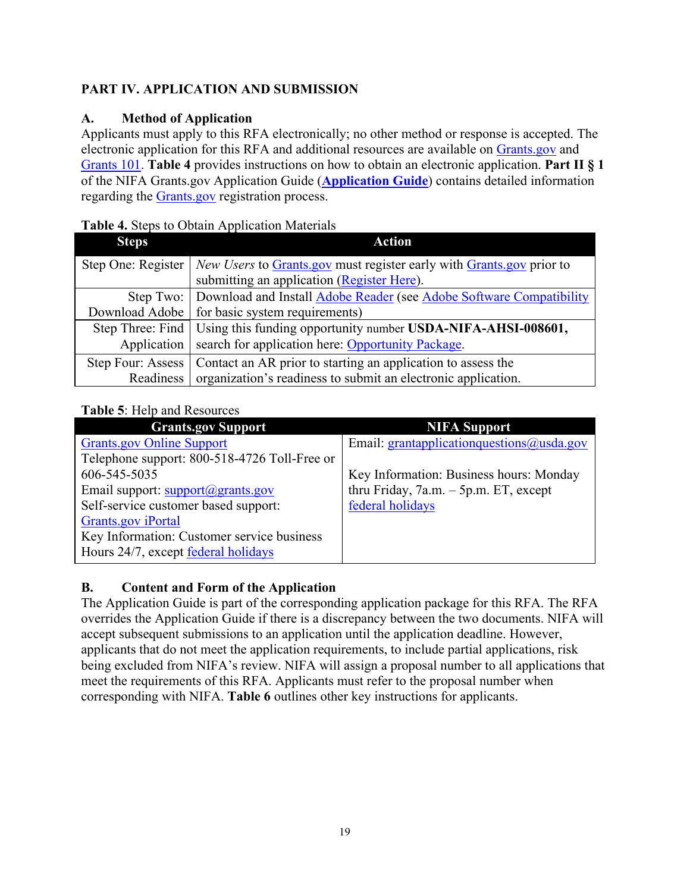### <span id="page-18-0"></span>**PART IV. APPLICATION AND SUBMISSION**

### <span id="page-18-1"></span>**A. Method of Application**

Applicants must apply to this RFA electronically; no other method or response is accepted. The electronic application for this RFA and additional resources are available on [Grants.gov](https://www.grants.gov/) and [Grants 101.](https://www.grants.gov/web/grants/learn-grants/grants-101/pre-award-phase.html/) **Table 4** provides instructions on how to obtain an electronic application. **Part II § 1** of the NIFA Grants.gov Application Guide (**[Application Guide](https://nifa.usda.gov/resource/nifa-grantsgov-application-guide)**) contains detailed information regarding the [Grants.gov](https://www.grants.gov/) registration process.

### <span id="page-18-3"></span>**Table 4.** Steps to Obtain Application Materials

| <b>Steps</b>      | <b>Action</b>                                                                             |
|-------------------|-------------------------------------------------------------------------------------------|
|                   | Step One: Register   New Users to Grants.gov must register early with Grants.gov prior to |
|                   | submitting an application (Register Here).                                                |
|                   | Step Two: Download and Install Adobe Reader (see Adobe Software Compatibility             |
| Download Adobe    | for basic system requirements)                                                            |
|                   | Step Three: Find   Using this funding opportunity number USDA-NIFA-AHSI-008601,           |
| Application       | search for application here: Opportunity Package.                                         |
| Step Four: Assess | Contact an AR prior to starting an application to assess the                              |
| Readiness         | organization's readiness to submit an electronic application.                             |

### <span id="page-18-4"></span>**Table 5**: Help and Resources

| <b>Grants.gov Support</b>                    | <b>NIFA Support</b>                       |
|----------------------------------------------|-------------------------------------------|
| <b>Grants.gov Online Support</b>             | Email: grantapplicationquestions@usda.gov |
| Telephone support: 800-518-4726 Toll-Free or |                                           |
| 606-545-5035                                 | Key Information: Business hours: Monday   |
| Email support: support@grants.gov            | thru Friday, $7a.m. - 5p.m. ET$ , except  |
| Self-service customer based support:         | federal holidays                          |
| <b>Grants.gov</b> iPortal                    |                                           |
| Key Information: Customer service business   |                                           |
| Hours 24/7, except federal holidays          |                                           |

### <span id="page-18-2"></span>**B. Content and Form of the Application**

The Application Guide is part of the corresponding application package for this RFA. The RFA overrides the Application Guide if there is a discrepancy between the two documents. NIFA will accept subsequent submissions to an application until the application deadline. However, applicants that do not meet the application requirements, to include partial applications, risk being excluded from NIFA's review. NIFA will assign a proposal number to all applications that meet the requirements of this RFA. Applicants must refer to the proposal number when corresponding with NIFA. **Table 6** outlines other key instructions for applicants.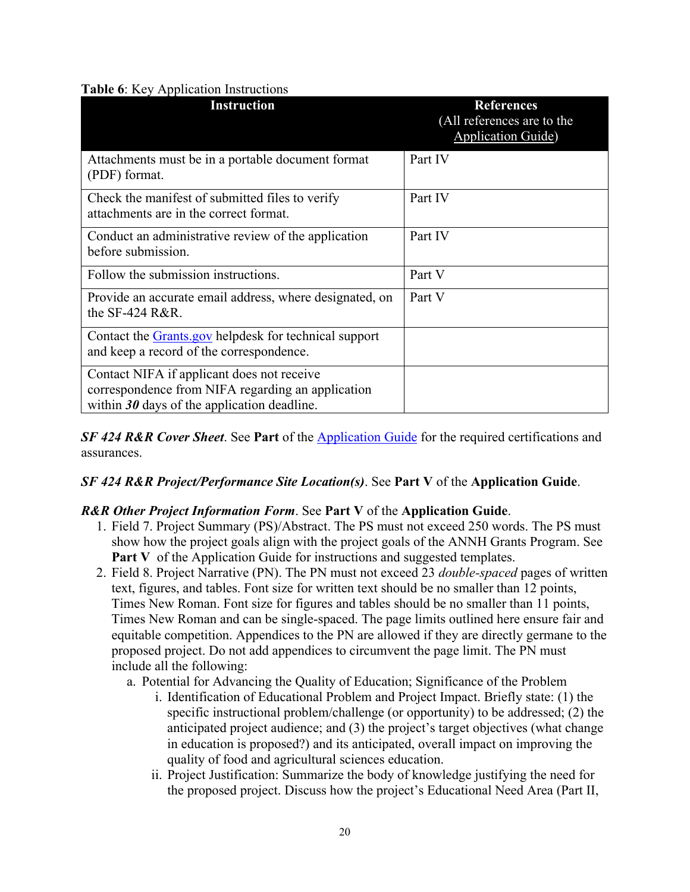### <span id="page-19-0"></span>**Table 6**: Key Application Instructions

| <b>Instruction</b>                                                                                                                               | <b>References</b><br>(All references are to the<br><b>Application Guide</b> ) |
|--------------------------------------------------------------------------------------------------------------------------------------------------|-------------------------------------------------------------------------------|
| Attachments must be in a portable document format<br>(PDF) format.                                                                               | Part IV                                                                       |
| Check the manifest of submitted files to verify<br>attachments are in the correct format.                                                        | Part IV                                                                       |
| Conduct an administrative review of the application<br>before submission.                                                                        | Part IV                                                                       |
| Follow the submission instructions.                                                                                                              | Part V                                                                        |
| Provide an accurate email address, where designated, on<br>the SF-424 R&R.                                                                       | Part V                                                                        |
| Contact the <b>Grants.gov</b> helpdesk for technical support<br>and keep a record of the correspondence.                                         |                                                                               |
| Contact NIFA if applicant does not receive<br>correspondence from NIFA regarding an application<br>within $30$ days of the application deadline. |                                                                               |

**SF 424 R&R Cover Sheet.** See **Part** of the **Application Guide** for the required certifications and assurances.

### *SF 424 R&R Project/Performance Site Location(s)*. See **Part V** of the **Application Guide**.

### *R&R Other Project Information Form*. See **Part V** of the **Application Guide**.

- 1. Field 7. Project Summary (PS)/Abstract. The PS must not exceed 250 words. The PS must show how the project goals align with the project goals of the ANNH Grants Program. See **Part V** of the Application Guide for instructions and suggested templates.
- 2. Field 8. Project Narrative (PN). The PN must not exceed 23 *double-spaced* pages of written text, figures, and tables. Font size for written text should be no smaller than 12 points, Times New Roman. Font size for figures and tables should be no smaller than 11 points, Times New Roman and can be single-spaced. The page limits outlined here ensure fair and equitable competition. Appendices to the PN are allowed if they are directly germane to the proposed project. Do not add appendices to circumvent the page limit. The PN must include all the following:
	- a. Potential for Advancing the Quality of Education; Significance of the Problem
		- i. Identification of Educational Problem and Project Impact. Briefly state: (1) the specific instructional problem/challenge (or opportunity) to be addressed; (2) the anticipated project audience; and (3) the project's target objectives (what change in education is proposed?) and its anticipated, overall impact on improving the quality of food and agricultural sciences education.
		- ii. Project Justification: Summarize the body of knowledge justifying the need for the proposed project. Discuss how the project's Educational Need Area (Part II,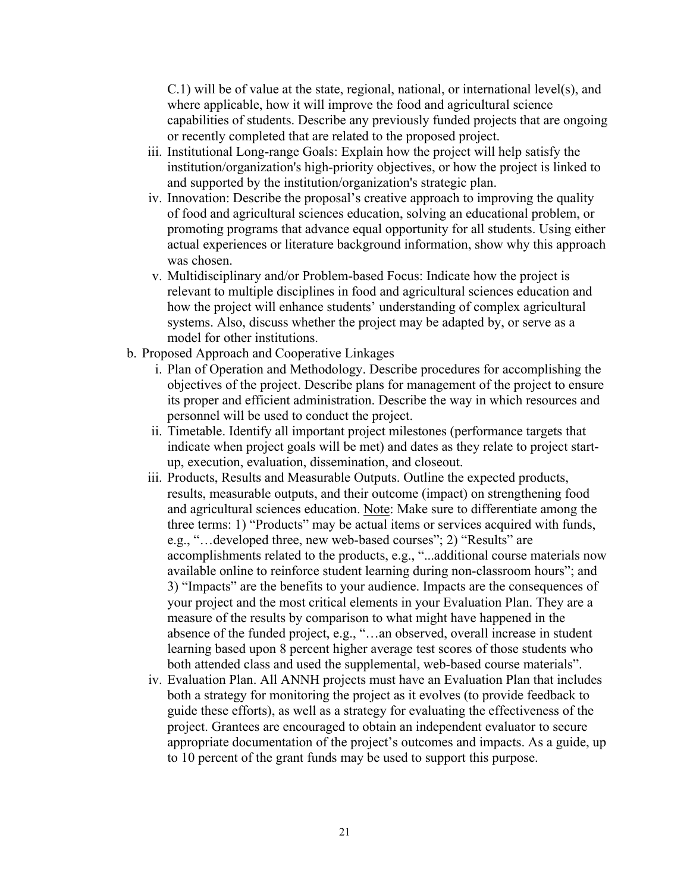$C.1$ ) will be of value at the state, regional, national, or international level(s), and where applicable, how it will improve the food and agricultural science capabilities of students. Describe any previously funded projects that are ongoing or recently completed that are related to the proposed project.

- iii. Institutional Long-range Goals: Explain how the project will help satisfy the institution/organization's high-priority objectives, or how the project is linked to and supported by the institution/organization's strategic plan.
- iv. Innovation: Describe the proposal's creative approach to improving the quality of food and agricultural sciences education, solving an educational problem, or promoting programs that advance equal opportunity for all students. Using either actual experiences or literature background information, show why this approach was chosen.
- v. Multidisciplinary and/or Problem-based Focus: Indicate how the project is relevant to multiple disciplines in food and agricultural sciences education and how the project will enhance students' understanding of complex agricultural systems. Also, discuss whether the project may be adapted by, or serve as a model for other institutions.
- b. Proposed Approach and Cooperative Linkages
	- i. Plan of Operation and Methodology. Describe procedures for accomplishing the objectives of the project. Describe plans for management of the project to ensure its proper and efficient administration. Describe the way in which resources and personnel will be used to conduct the project.
	- ii. Timetable. Identify all important project milestones (performance targets that indicate when project goals will be met) and dates as they relate to project startup, execution, evaluation, dissemination, and closeout.
	- iii. Products, Results and Measurable Outputs. Outline the expected products, results, measurable outputs, and their outcome (impact) on strengthening food and agricultural sciences education. Note: Make sure to differentiate among the three terms: 1) "Products" may be actual items or services acquired with funds, e.g., "…developed three, new web-based courses"; 2) "Results" are accomplishments related to the products, e.g., "...additional course materials now available online to reinforce student learning during non-classroom hours"; and 3) "Impacts" are the benefits to your audience. Impacts are the consequences of your project and the most critical elements in your Evaluation Plan. They are a measure of the results by comparison to what might have happened in the absence of the funded project, e.g., "…an observed, overall increase in student learning based upon 8 percent higher average test scores of those students who both attended class and used the supplemental, web-based course materials".
	- iv. Evaluation Plan. All ANNH projects must have an Evaluation Plan that includes both a strategy for monitoring the project as it evolves (to provide feedback to guide these efforts), as well as a strategy for evaluating the effectiveness of the project. Grantees are encouraged to obtain an independent evaluator to secure appropriate documentation of the project's outcomes and impacts. As a guide, up to 10 percent of the grant funds may be used to support this purpose.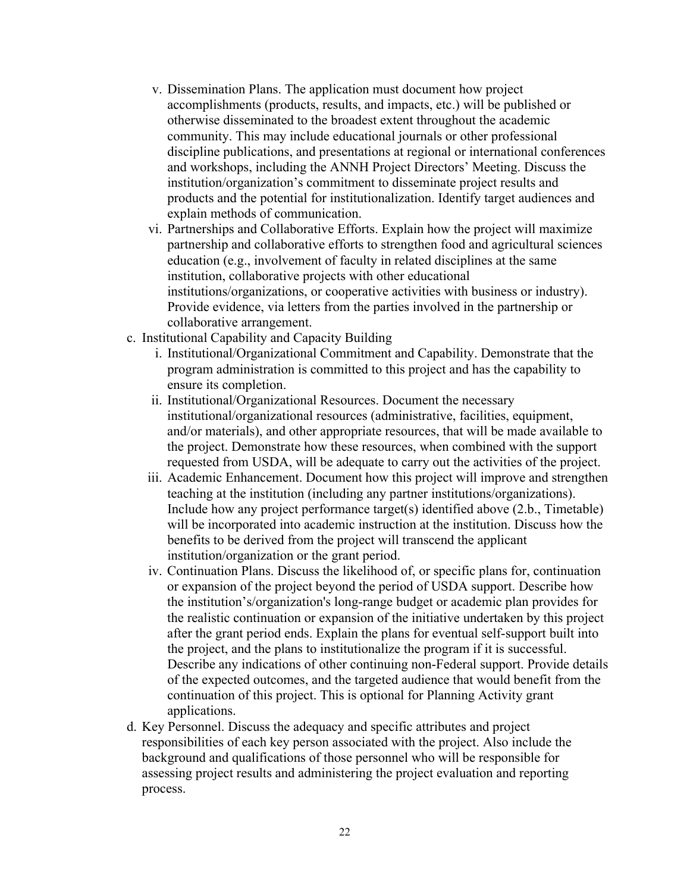- v. Dissemination Plans. The application must document how project accomplishments (products, results, and impacts, etc.) will be published or otherwise disseminated to the broadest extent throughout the academic community. This may include educational journals or other professional discipline publications, and presentations at regional or international conferences and workshops, including the ANNH Project Directors' Meeting. Discuss the institution/organization's commitment to disseminate project results and products and the potential for institutionalization. Identify target audiences and explain methods of communication.
- vi. Partnerships and Collaborative Efforts. Explain how the project will maximize partnership and collaborative efforts to strengthen food and agricultural sciences education (e.g., involvement of faculty in related disciplines at the same institution, collaborative projects with other educational institutions/organizations, or cooperative activities with business or industry). Provide evidence, via letters from the parties involved in the partnership or collaborative arrangement.
- c. Institutional Capability and Capacity Building
	- i. Institutional/Organizational Commitment and Capability. Demonstrate that the program administration is committed to this project and has the capability to ensure its completion.
	- ii. Institutional/Organizational Resources. Document the necessary institutional/organizational resources (administrative, facilities, equipment, and/or materials), and other appropriate resources, that will be made available to the project. Demonstrate how these resources, when combined with the support requested from USDA, will be adequate to carry out the activities of the project.
	- iii. Academic Enhancement. Document how this project will improve and strengthen teaching at the institution (including any partner institutions/organizations). Include how any project performance target(s) identified above (2.b., Timetable) will be incorporated into academic instruction at the institution. Discuss how the benefits to be derived from the project will transcend the applicant institution/organization or the grant period.
	- iv. Continuation Plans. Discuss the likelihood of, or specific plans for, continuation or expansion of the project beyond the period of USDA support. Describe how the institution's/organization's long-range budget or academic plan provides for the realistic continuation or expansion of the initiative undertaken by this project after the grant period ends. Explain the plans for eventual self-support built into the project, and the plans to institutionalize the program if it is successful. Describe any indications of other continuing non-Federal support. Provide details of the expected outcomes, and the targeted audience that would benefit from the continuation of this project. This is optional for Planning Activity grant applications.
- d. Key Personnel. Discuss the adequacy and specific attributes and project responsibilities of each key person associated with the project. Also include the background and qualifications of those personnel who will be responsible for assessing project results and administering the project evaluation and reporting process.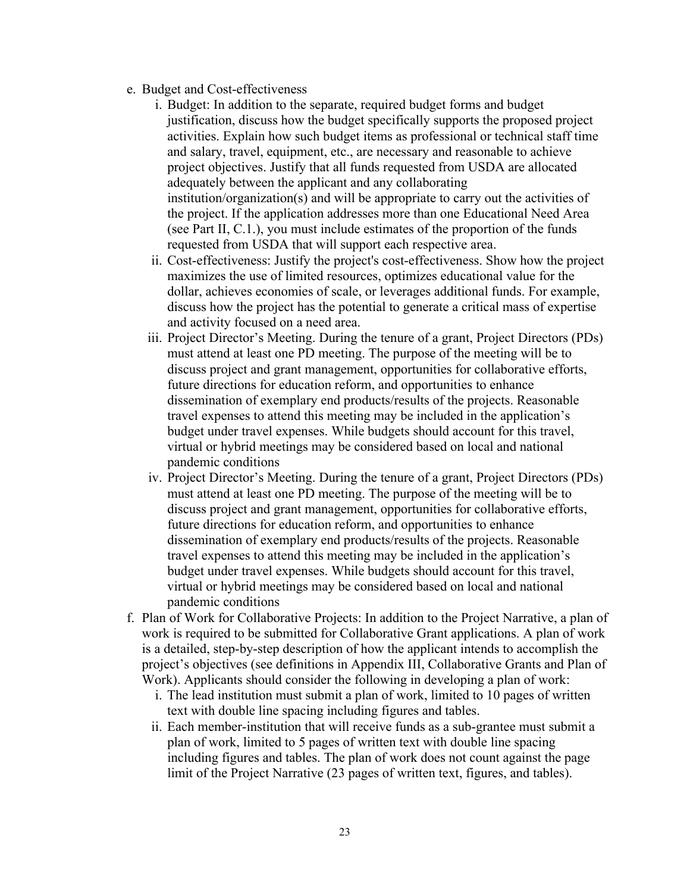- e. Budget and Cost-effectiveness
	- i. Budget: In addition to the separate, required budget forms and budget justification, discuss how the budget specifically supports the proposed project activities. Explain how such budget items as professional or technical staff time and salary, travel, equipment, etc., are necessary and reasonable to achieve project objectives. Justify that all funds requested from USDA are allocated adequately between the applicant and any collaborating institution/organization(s) and will be appropriate to carry out the activities of the project. If the application addresses more than one Educational Need Area (see Part II, C.1.), you must include estimates of the proportion of the funds requested from USDA that will support each respective area.
	- ii. Cost-effectiveness: Justify the project's cost-effectiveness. Show how the project maximizes the use of limited resources, optimizes educational value for the dollar, achieves economies of scale, or leverages additional funds. For example, discuss how the project has the potential to generate a critical mass of expertise and activity focused on a need area.
	- iii. Project Director's Meeting. During the tenure of a grant, Project Directors (PDs) must attend at least one PD meeting. The purpose of the meeting will be to discuss project and grant management, opportunities for collaborative efforts, future directions for education reform, and opportunities to enhance dissemination of exemplary end products/results of the projects. Reasonable travel expenses to attend this meeting may be included in the application's budget under travel expenses. While budgets should account for this travel, virtual or hybrid meetings may be considered based on local and national pandemic conditions
	- iv. Project Director's Meeting. During the tenure of a grant, Project Directors (PDs) must attend at least one PD meeting. The purpose of the meeting will be to discuss project and grant management, opportunities for collaborative efforts, future directions for education reform, and opportunities to enhance dissemination of exemplary end products/results of the projects. Reasonable travel expenses to attend this meeting may be included in the application's budget under travel expenses. While budgets should account for this travel, virtual or hybrid meetings may be considered based on local and national pandemic conditions
- f. Plan of Work for Collaborative Projects: In addition to the Project Narrative, a plan of work is required to be submitted for Collaborative Grant applications. A plan of work is a detailed, step-by-step description of how the applicant intends to accomplish the project's objectives (see definitions in Appendix III, Collaborative Grants and Plan of Work). Applicants should consider the following in developing a plan of work:
	- i. The lead institution must submit a plan of work, limited to 10 pages of written text with double line spacing including figures and tables.
	- ii. Each member-institution that will receive funds as a sub-grantee must submit a plan of work, limited to 5 pages of written text with double line spacing including figures and tables. The plan of work does not count against the page limit of the Project Narrative (23 pages of written text, figures, and tables).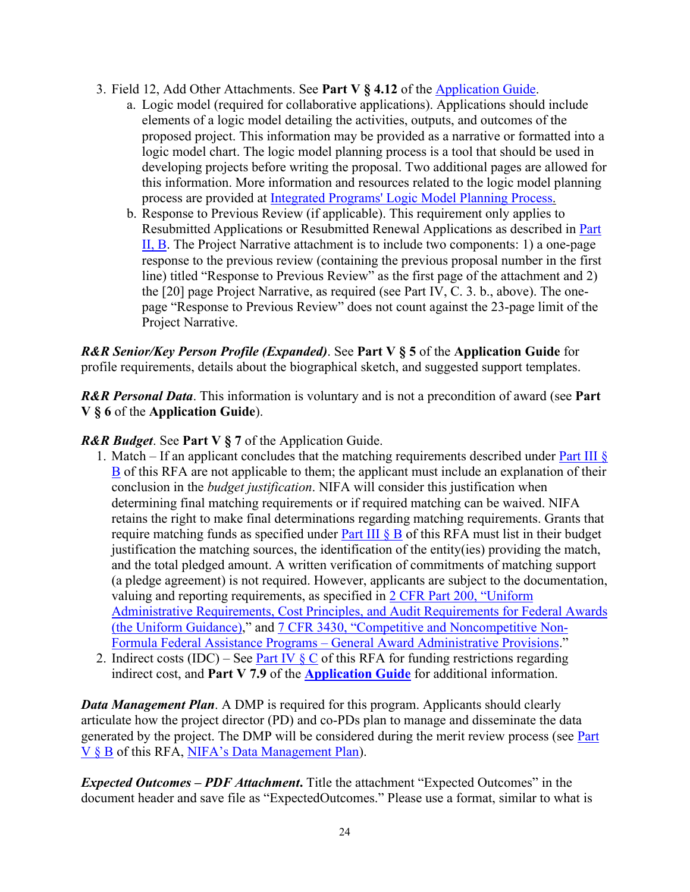- 3. Field 12, Add Other Attachments. See **Part V § 4.12** of the [Application Guide.](https://nifa.usda.gov/resource/nifa-grantsgov-application-guide)
	- a. Logic model (required for collaborative applications). Applications should include elements of a logic model detailing the activities, outputs, and outcomes of the proposed project. This information may be provided as a narrative or formatted into a logic model chart. The logic model planning process is a tool that should be used in developing projects before writing the proposal. Two additional pages are allowed for this information. More information and resources related to the logic model planning process are provided at [Integrated Programs' Logic Model Planning Process.](https://nifa.usda.gov/resource/integrated-programs-logic-model-planning-process)
	- b. Response to Previous Review (if applicable). This requirement only applies to Resubmitted Applications or Resubmitted Renewal Applications as described in [Part](#page-8-2)  [II, B.](#page-8-2) The Project Narrative attachment is to include two components: 1) a one-page response to the previous review (containing the previous proposal number in the first line) titled "Response to Previous Review" as the first page of the attachment and 2) the [20] page Project Narrative, as required (see Part IV, C. 3. b., above). The onepage "Response to Previous Review" does not count against the 23-page limit of the Project Narrative.

*R&R Senior/Key Person Profile (Expanded)*. See **Part V § 5** of the **Application Guide** for profile requirements, details about the biographical sketch, and suggested support templates.

*R&R Personal Data*. This information is voluntary and is not a precondition of award (see **Part V § 6** of the **Application Guide**).

*R&R Budget*. See **Part V § 7** of the Application Guide.

- 1. Match If an applicant concludes that the matching requirements described under Part III  $\S$ [B](#page-17-0) of this RFA are not applicable to them; the applicant must include an explanation of their conclusion in the *budget justification*. NIFA will consider this justification when determining final matching requirements or if required matching can be waived. NIFA retains the right to make final determinations regarding matching requirements. Grants that require matching funds as specified under Part III  $\&$  B of this RFA must list in their budget justification the matching sources, the identification of the entity(ies) providing the match, and the total pledged amount. A written verification of commitments of matching support (a pledge agreement) is not required. However, applicants are subject to the documentation, valuing and reporting requirements, as specified in [2 CFR Part 200, "Uniform](https://www.ecfr.gov/cgi-bin/text-idx?SID=39448527cdd5ebd0a063b91b8b44f0f5&mc=true&node=pt2.1.200&rgn=div5)  [Administrative Requirements, Cost Principles, and Audit Requirements for Federal Awards](https://www.ecfr.gov/cgi-bin/text-idx?SID=39448527cdd5ebd0a063b91b8b44f0f5&mc=true&node=pt2.1.200&rgn=div5)  [\(the Uniform Guidance\),](https://www.ecfr.gov/cgi-bin/text-idx?SID=39448527cdd5ebd0a063b91b8b44f0f5&mc=true&node=pt2.1.200&rgn=div5)" and [7 CFR 3430, "Competitive and Noncompetitive Non-](https://www.ecfr.gov/current/title-7/subtitle-B/chapter-XXXIV/part-3430)Formula Federal Assistance Programs – [General Award Administrative Provisions.](https://www.ecfr.gov/current/title-7/subtitle-B/chapter-XXXIV/part-3430)"
- 2. Indirect costs (IDC) See Part IV  $\&$  C of this RFA for funding restrictions regarding indirect cost, and **Part V 7.9** of the **[Application Guide](https://nifa.usda.gov/resource/nifa-grantsgov-application-guide)** for additional information.

*Data Management Plan.* A DMP is required for this program. Applicants should clearly articulate how the project director (PD) and co-PDs plan to manage and disseminate the data generated by the project. The DMP will be considered during the merit review process (see Part [V § B](#page-26-2) of this RFA, [NIFA's Data Management Plan\)](https://nifa.usda.gov/resource/data-management-plan-nifa-funded-research-projects).

*Expected Outcomes – PDF Attachment***.** Title the attachment "Expected Outcomes" in the document header and save file as "ExpectedOutcomes." Please use a format, similar to what is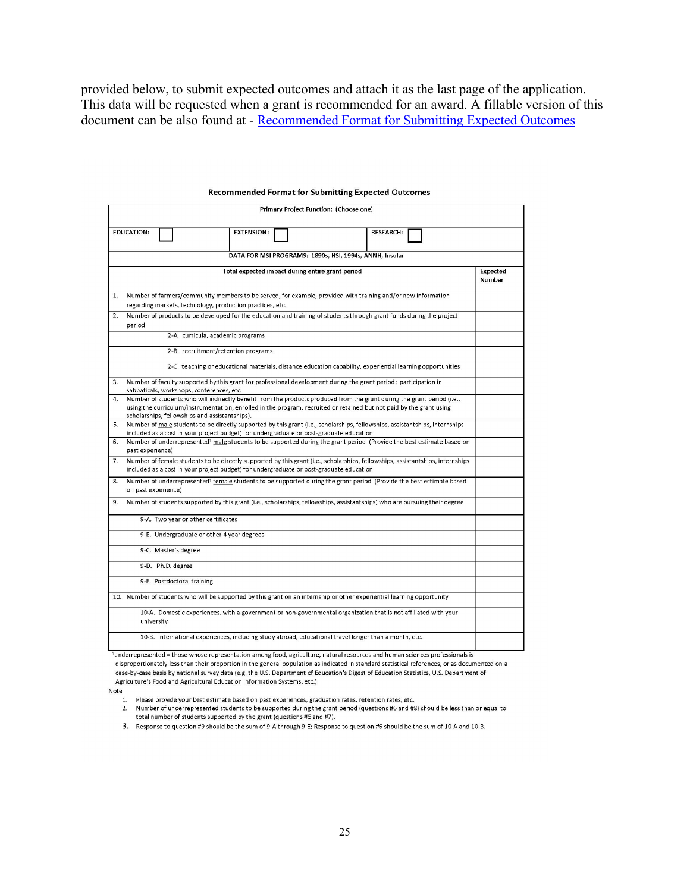provided below, to submit expected outcomes and attach it as the last page of the application. This data will be requested when a grant is recommended for an award. A fillable version of this document can be also found at - [Recommended Format for Submitting Expected Outcomes](https://nifa.usda.gov/resource/recommended-format-submitting-expected-impacts)

|    |                     |                                                           | Primary Project Function: (Choose one)                                                                                 |                                                                                                                                   |                    |
|----|---------------------|-----------------------------------------------------------|------------------------------------------------------------------------------------------------------------------------|-----------------------------------------------------------------------------------------------------------------------------------|--------------------|
|    | <b>EDUCATION:</b>   |                                                           | <b>EXTENSION:</b>                                                                                                      | <b>RESEARCH:</b>                                                                                                                  |                    |
|    |                     |                                                           | DATA FOR MSI PROGRAMS: 1890s, HSI, 1994s, ANNH, Insular                                                                |                                                                                                                                   |                    |
|    |                     |                                                           | Total expected impact during entire grant period                                                                       |                                                                                                                                   | Expected<br>Number |
| 1. |                     | regarding markets, technology, production practices, etc. | Number of farmers/community members to be served, for example, provided with training and/or new information           |                                                                                                                                   |                    |
| 2. | period              |                                                           | Number of products to be developed for the education and training of students through grant funds during the project   |                                                                                                                                   |                    |
|    |                     | 2-A. curricula, academic programs                         |                                                                                                                        |                                                                                                                                   |                    |
|    |                     | 2-B. recruitment/retention programs                       |                                                                                                                        |                                                                                                                                   |                    |
|    |                     |                                                           |                                                                                                                        | 2-C. teaching or educational materials, distance education capability, experiential learning opportunities                        |                    |
| 3. |                     | sabbaticals, workshops, conferences, etc.                 | Number of faculty supported by this grant for professional development during the grant period: participation in       |                                                                                                                                   |                    |
| 4. |                     | scholarships, fellowships and assistantships).            | using the curriculum/instrumentation, enrolled in the program, recruited or retained but not paid by the grant using   | Number of students who will indirectly benefit from the products produced from the grant during the grant period (i.e.,           |                    |
| 5. |                     |                                                           | included as a cost in your project budget) for undergraduate or post-graduate education                                | Number of male students to be directly supported by this grant (i.e., scholarships, fellowships, assistantships, internships      |                    |
| 6. | past experience)    |                                                           |                                                                                                                        | Number of underrepresented <sup>1</sup> male students to be supported during the grant period (Provide the best estimate based on |                    |
| 7. |                     |                                                           | included as a cost in your project budget) for undergraduate or post-graduate education                                | Number of female students to be directly supported by this grant (i.e., scholarships, fellowships, assistantships, internships    |                    |
| 8. | on past experience) |                                                           |                                                                                                                        | Number of underrepresented <sup>1</sup> female students to be supported during the grant period (Provide the best estimate based  |                    |
| 9. |                     |                                                           |                                                                                                                        | Number of students supported by this grant (i.e., scholarships, fellowships, assistantships) who are pursuing their degree        |                    |
|    |                     | 9-A. Two year or other certificates                       |                                                                                                                        |                                                                                                                                   |                    |
|    |                     | 9-B. Undergraduate or other 4 year degrees                |                                                                                                                        |                                                                                                                                   |                    |
|    |                     | 9-C. Master's degree                                      |                                                                                                                        |                                                                                                                                   |                    |
|    |                     | 9-D. Ph.D. degree                                         |                                                                                                                        |                                                                                                                                   |                    |
|    |                     | 9-E. Postdoctoral training                                |                                                                                                                        |                                                                                                                                   |                    |
|    |                     |                                                           | 10. Number of students who will be supported by this grant on an internship or other experiential learning opportunity |                                                                                                                                   |                    |
|    | university          |                                                           | 10-A. Domestic experiences, with a government or non-governmental organization that is not affiliated with your        |                                                                                                                                   |                    |
|    |                     |                                                           | 10-B. International experiences, including study abroad, educational travel longer than a month, etc.                  |                                                                                                                                   |                    |

#### **Recommended Format for Submitting Expected Outcomes**

<sup>1</sup>underrepresented = those whose representation among food, agriculture, natural resources and human sciences professionals is

disproportionately less than their proportion in the general population as indicated in standard statistical references, or as documented on a case-by-case basis by national survey data (e.g. the U.S. Department of Education's Digest of Education Statistics, U.S. Department of Agriculture's Food and Agricultural Education Information Systems, etc.).

Note

1. Please provide your best estimate based on past experiences, graduation rates, retention rates, etc.

- 2. Number of underrepresented students to be supported during the grant period (questions #6 and #8) should be less than or equal to total number of students supported by the grant (questions #5 and #7).
- 3. Response to question #9 should be the sum of 9-A through 9-E; Response to question #6 should be the sum of 10-A and 10-B.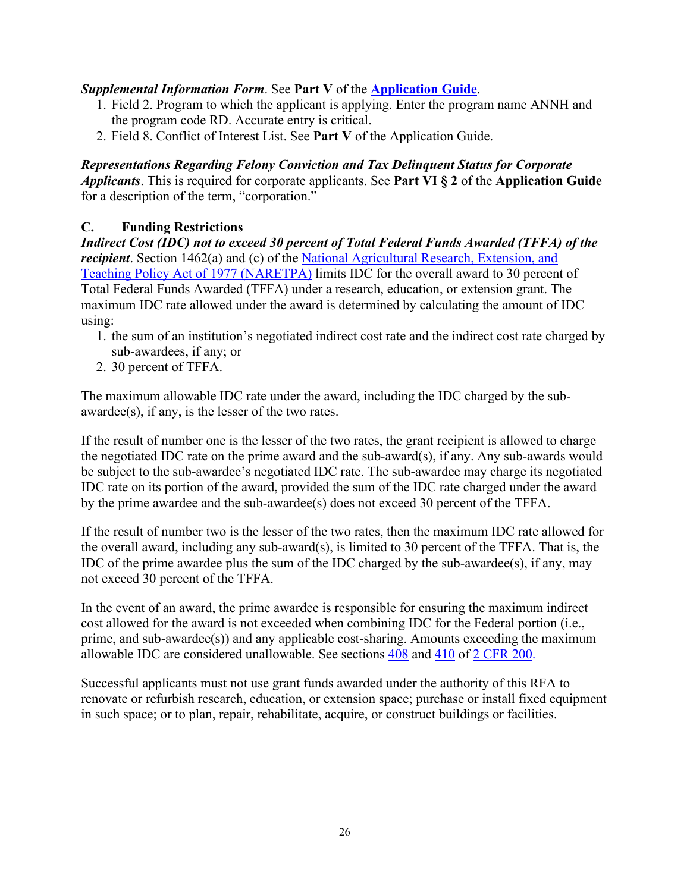### *Supplemental Information Form*. See **Part V** of the **[Application Guide](https://nifa.usda.gov/resource/nifa-grantsgov-application-guide)**.

- 1. Field 2. Program to which the applicant is applying. Enter the program name ANNH and the program code RD. Accurate entry is critical.
- 2. Field 8. Conflict of Interest List. See **Part V** of the Application Guide.

### *Representations Regarding Felony Conviction and Tax Delinquent Status for Corporate*

*Applicants*. This is required for corporate applicants. See **Part VI § 2** of the **Application Guide** for a description of the term, "corporation."

### <span id="page-25-0"></span>**C. Funding Restrictions**

*Indirect Cost (IDC) not to exceed 30 percent of Total Federal Funds Awarded (TFFA) of the recipient*. Section 1462(a) and (c) of the National Agricultural Research, Extension, and [Teaching Policy Act of 1977 \(NARETPA\)](https://nifa.usda.gov/sites/default/files/resource/nar77.pdf) limits IDC for the overall award to 30 percent of Total Federal Funds Awarded (TFFA) under a research, education, or extension grant. The maximum IDC rate allowed under the award is determined by calculating the amount of IDC using:

- 1. the sum of an institution's negotiated indirect cost rate and the indirect cost rate charged by sub-awardees, if any; or
- 2. 30 percent of TFFA.

The maximum allowable IDC rate under the award, including the IDC charged by the subawardee(s), if any, is the lesser of the two rates.

If the result of number one is the lesser of the two rates, the grant recipient is allowed to charge the negotiated IDC rate on the prime award and the sub-award(s), if any. Any sub-awards would be subject to the sub-awardee's negotiated IDC rate. The sub-awardee may charge its negotiated IDC rate on its portion of the award, provided the sum of the IDC rate charged under the award by the prime awardee and the sub-awardee(s) does not exceed 30 percent of the TFFA.

If the result of number two is the lesser of the two rates, then the maximum IDC rate allowed for the overall award, including any sub-award(s), is limited to 30 percent of the TFFA. That is, the IDC of the prime awardee plus the sum of the IDC charged by the sub-awardee(s), if any, may not exceed 30 percent of the TFFA.

In the event of an award, the prime awardee is responsible for ensuring the maximum indirect cost allowed for the award is not exceeded when combining IDC for the Federal portion (i.e., prime, and sub-awardee(s)) and any applicable cost-sharing. Amounts exceeding the maximum allowable IDC are considered unallowable. See sections [408](https://www.ecfr.gov/cgi-bin/text-idx?SID=99b0d2f1cf782a71783f992ece47bb5a&mc=true&node=pt2.1.200&rgn=div5#se2.1.200_1408) and [410](https://www.ecfr.gov/cgi-bin/text-idx?SID=99b0d2f1cf782a71783f992ece47bb5a&mc=true&node=pt2.1.200&rgn=div5#se2.1.200_1410) of [2 CFR 200.](https://www.ecfr.gov/cgi-bin/text-idx?SID=99b0d2f1cf782a71783f992ece47bb5a&mc=true&node=pt2.1.200&rgn=div5)

Successful applicants must not use grant funds awarded under the authority of this RFA to renovate or refurbish research, education, or extension space; purchase or install fixed equipment in such space; or to plan, repair, rehabilitate, acquire, or construct buildings or facilities.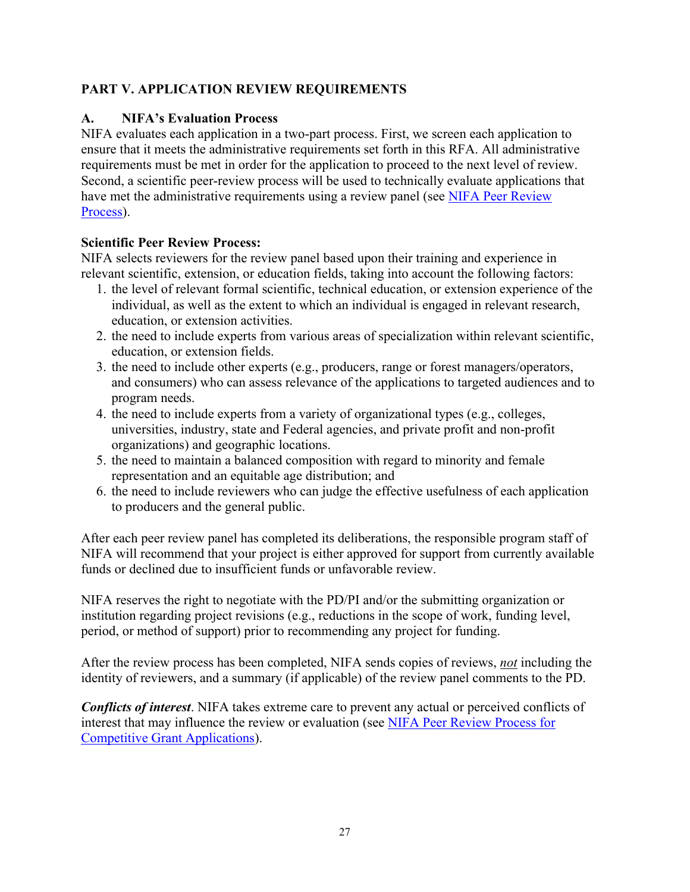### <span id="page-26-0"></span>**PART V. APPLICATION REVIEW REQUIREMENTS**

### <span id="page-26-1"></span>**A. NIFA's Evaluation Process**

NIFA evaluates each application in a two-part process. First, we screen each application to ensure that it meets the administrative requirements set forth in this RFA. All administrative requirements must be met in order for the application to proceed to the next level of review. Second, a scientific peer-review process will be used to technically evaluate applications that have met the administrative requirements using a review panel (see [NIFA Peer Review](https://nifa.usda.gov/sites/default/files/resource/NIFA-Peer-Review-Process-for-Competitive-Grant-Applications_0.pdf)  [Process\)](https://nifa.usda.gov/sites/default/files/resource/NIFA-Peer-Review-Process-for-Competitive-Grant-Applications_0.pdf).

### **Scientific Peer Review Process:**

NIFA selects reviewers for the review panel based upon their training and experience in relevant scientific, extension, or education fields, taking into account the following factors:

- 1. the level of relevant formal scientific, technical education, or extension experience of the individual, as well as the extent to which an individual is engaged in relevant research, education, or extension activities.
- 2. the need to include experts from various areas of specialization within relevant scientific, education, or extension fields.
- 3. the need to include other experts (e.g., producers, range or forest managers/operators, and consumers) who can assess relevance of the applications to targeted audiences and to program needs.
- 4. the need to include experts from a variety of organizational types (e.g., colleges, universities, industry, state and Federal agencies, and private profit and non-profit organizations) and geographic locations.
- 5. the need to maintain a balanced composition with regard to minority and female representation and an equitable age distribution; and
- 6. the need to include reviewers who can judge the effective usefulness of each application to producers and the general public.

After each peer review panel has completed its deliberations, the responsible program staff of NIFA will recommend that your project is either approved for support from currently available funds or declined due to insufficient funds or unfavorable review.

NIFA reserves the right to negotiate with the PD/PI and/or the submitting organization or institution regarding project revisions (e.g., reductions in the scope of work, funding level, period, or method of support) prior to recommending any project for funding.

After the review process has been completed, NIFA sends copies of reviews, *not* including the identity of reviewers, and a summary (if applicable) of the review panel comments to the PD.

<span id="page-26-2"></span>*Conflicts of interest*. NIFA takes extreme care to prevent any actual or perceived conflicts of interest that may influence the review or evaluation (see [NIFA Peer Review Process](https://nifa.usda.gov/resource/nifa-peer-review-process-competitive-grant-applications) for [Competitive Grant Applications\)](https://nifa.usda.gov/resource/nifa-peer-review-process-competitive-grant-applications).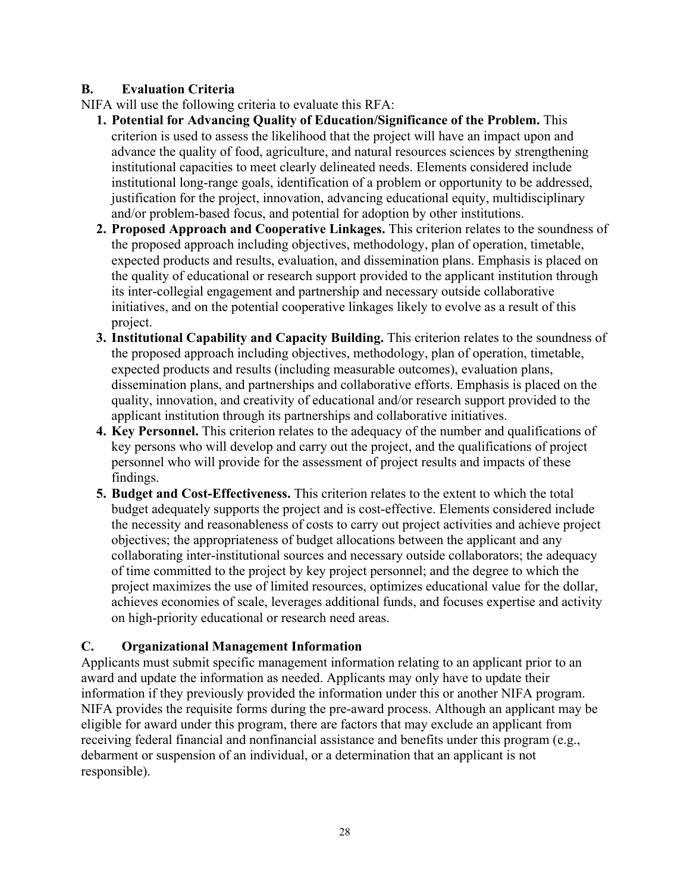### <span id="page-27-0"></span>**B. Evaluation Criteria**

NIFA will use the following criteria to evaluate this RFA:

- **1. Potential for Advancing Quality of Education/Significance of the Problem.** This criterion is used to assess the likelihood that the project will have an impact upon and advance the quality of food, agriculture, and natural resources sciences by strengthening institutional capacities to meet clearly delineated needs. Elements considered include institutional long-range goals, identification of a problem or opportunity to be addressed, justification for the project, innovation, advancing educational equity, multidisciplinary and/or problem-based focus, and potential for adoption by other institutions.
- **2. Proposed Approach and Cooperative Linkages.** This criterion relates to the soundness of the proposed approach including objectives, methodology, plan of operation, timetable, expected products and results, evaluation, and dissemination plans. Emphasis is placed on the quality of educational or research support provided to the applicant institution through its inter-collegial engagement and partnership and necessary outside collaborative initiatives, and on the potential cooperative linkages likely to evolve as a result of this project.
- **3. Institutional Capability and Capacity Building.** This criterion relates to the soundness of the proposed approach including objectives, methodology, plan of operation, timetable, expected products and results (including measurable outcomes), evaluation plans, dissemination plans, and partnerships and collaborative efforts. Emphasis is placed on the quality, innovation, and creativity of educational and/or research support provided to the applicant institution through its partnerships and collaborative initiatives.
- **4. Key Personnel.** This criterion relates to the adequacy of the number and qualifications of key persons who will develop and carry out the project, and the qualifications of project personnel who will provide for the assessment of project results and impacts of these findings.
- **5. Budget and Cost-Effectiveness.** This criterion relates to the extent to which the total budget adequately supports the project and is cost-effective. Elements considered include the necessity and reasonableness of costs to carry out project activities and achieve project objectives; the appropriateness of budget allocations between the applicant and any collaborating inter-institutional sources and necessary outside collaborators; the adequacy of time committed to the project by key project personnel; and the degree to which the project maximizes the use of limited resources, optimizes educational value for the dollar, achieves economies of scale, leverages additional funds, and focuses expertise and activity on high-priority educational or research need areas.

### <span id="page-27-1"></span>**C. Organizational Management Information**

Applicants must submit specific management information relating to an applicant prior to an award and update the information as needed. Applicants may only have to update their information if they previously provided the information under this or another NIFA program. NIFA provides the requisite forms during the pre-award process. Although an applicant may be eligible for award under this program, there are factors that may exclude an applicant from receiving federal financial and nonfinancial assistance and benefits under this program (e.g., debarment or suspension of an individual, or a determination that an applicant is not responsible).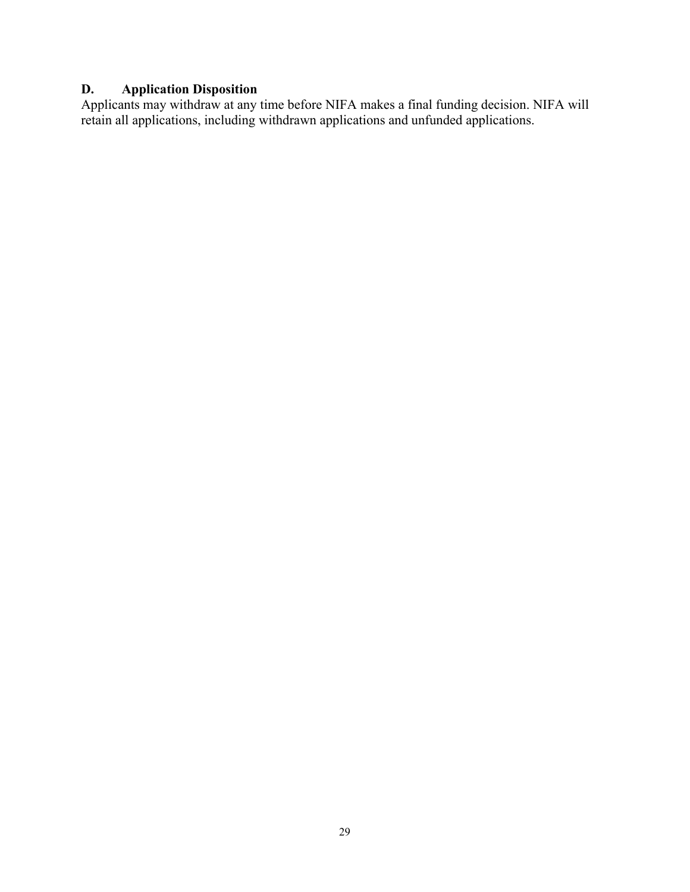### <span id="page-28-0"></span>**D. Application Disposition**

Applicants may withdraw at any time before NIFA makes a final funding decision. NIFA will retain all applications, including withdrawn applications and unfunded applications.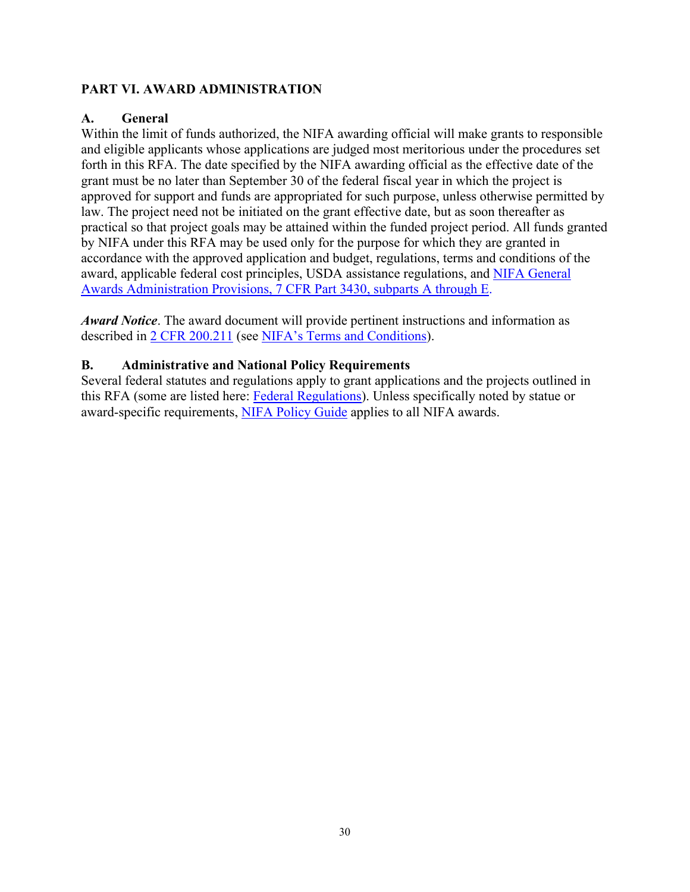### <span id="page-29-0"></span>**PART VI. AWARD ADMINISTRATION**

### <span id="page-29-1"></span>**A. General**

Within the limit of funds authorized, the NIFA awarding official will make grants to responsible and eligible applicants whose applications are judged most meritorious under the procedures set forth in this RFA. The date specified by the NIFA awarding official as the effective date of the grant must be no later than September 30 of the federal fiscal year in which the project is approved for support and funds are appropriated for such purpose, unless otherwise permitted by law. The project need not be initiated on the grant effective date, but as soon thereafter as practical so that project goals may be attained within the funded project period. All funds granted by NIFA under this RFA may be used only for the purpose for which they are granted in accordance with the approved application and budget, regulations, terms and conditions of the award, applicable federal cost principles, USDA assistance regulations, and [NIFA General](https://www.ecfr.gov/cgi-bin/text-idx?SID=1a74011311d649ff6313ca273791b131&mc=true&node=pt7.15.3430&rgn=div5)  [Awards Administration Provisions, 7 CFR Part 3430, subparts A through E.](https://www.ecfr.gov/cgi-bin/text-idx?SID=1a74011311d649ff6313ca273791b131&mc=true&node=pt7.15.3430&rgn=div5)

*Award Notice*. The award document will provide pertinent instructions and information as described in [2 CFR 200.211](https://www.ecfr.gov/cgi-bin/retrieveECFR?gp=&SID=c44a1f8f16917d78ba5ba676eac5fdc3&mc=true&r=SECTION&n=se2.1.200_1211) (see [NIFA's Terms and Conditions\)](https://nifa.usda.gov/terms-and-conditions).

### <span id="page-29-2"></span>**B. Administrative and National Policy Requirements**

Several federal statutes and regulations apply to grant applications and the projects outlined in this RFA (some are listed here: [Federal Regulations\)](https://nifa.usda.gov/federal-regulations). Unless specifically noted by statue or award-specific requirements, [NIFA Policy Guide](https://nifa.usda.gov/policy-guide) applies to all NIFA awards.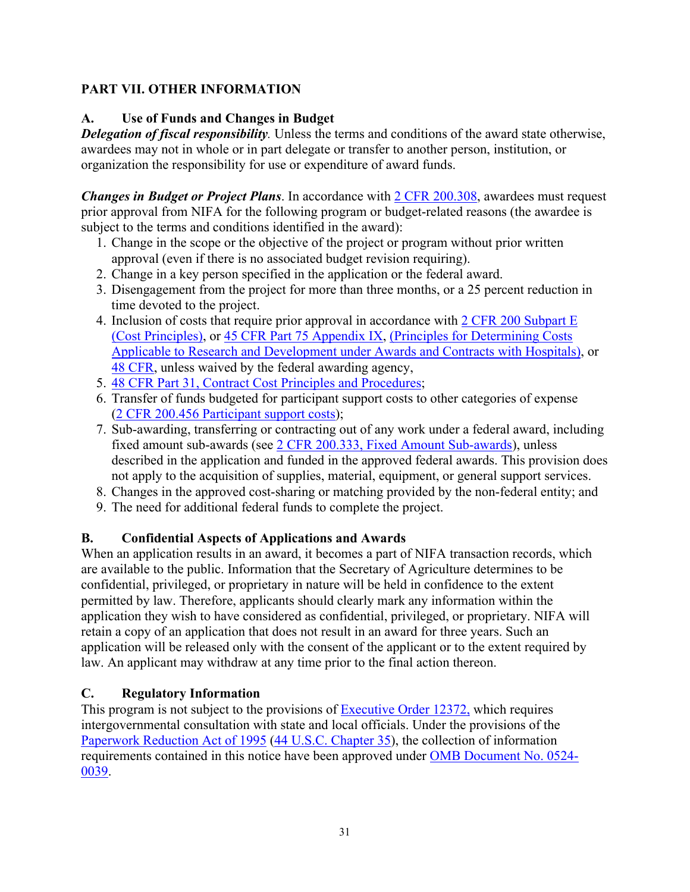### <span id="page-30-0"></span>**PART VII. OTHER INFORMATION**

### <span id="page-30-1"></span>**A. Use of Funds and Changes in Budget**

*Delegation of fiscal responsibility.* Unless the terms and conditions of the award state otherwise, awardees may not in whole or in part delegate or transfer to another person, institution, or organization the responsibility for use or expenditure of award funds.

*Changes in Budget or Project Plans*. In accordance with [2 CFR 200.308,](https://www.ecfr.gov/cgi-bin/text-idx?SID=3af89506559b05297e7d0334cb283e24&mc=true&node=se2.1.200_1308&rgn=div8) awardees must request prior approval from NIFA for the following program or budget-related reasons (the awardee is subject to the terms and conditions identified in the award):

- 1. Change in the scope or the objective of the project or program without prior written approval (even if there is no associated budget revision requiring).
- 2. Change in a key person specified in the application or the federal award.
- 3. Disengagement from the project for more than three months, or a 25 percent reduction in time devoted to the project.
- 4. Inclusion of costs that require prior approval in accordance with [2 CFR 200 Subpart E](https://www.ecfr.gov/cgi-bin/text-idx?SID=dc069d42776cd3451f66232d56026057&mc=true&node=pt2.1.200&rgn=div5#sp2.1.200.e)  [\(Cost Principles\),](https://www.ecfr.gov/cgi-bin/text-idx?SID=dc069d42776cd3451f66232d56026057&mc=true&node=pt2.1.200&rgn=div5#sp2.1.200.e) or [45 CFR Part 75 Appendix IX,](https://www.ecfr.gov/cgi-bin/text-idx?node=pt45.1.75#ap45.1.75_1521.ix) [\(Principles for Determining Costs](https://www.ecfr.gov/cgi-bin/text-idx?node=pt45.1.75#ap45.1.75_1521.ix)  [Applicable to Research and Development under Awards and Contracts with Hospitals\)](https://www.ecfr.gov/cgi-bin/text-idx?node=pt45.1.75#ap45.1.75_1521.ix), or [48 CFR,](https://www.ecfr.gov/cgi-bin/text-idx?SID=4d9d83a5cef52c19c5ff83421fa48a4b&mc=true&tpl=/ecfrbrowse/Title48/48tab_02.tpl) unless waived by the federal awarding agency,
- 5. [48 CFR Part 31, Contract Cost Principles and Procedures;](https://www.ecfr.gov/cgi-bin/text-idx?SID=4d9d83a5cef52c19c5ff83421fa48a4b&mc=true&node=pt48.1.31&rgn=div5)
- 6. Transfer of funds budgeted for participant support costs to other categories of expense [\(2 CFR 200.456 Participant support costs\)](https://www.ecfr.gov/cgi-bin/text-idx?SID=875f7422535a157681c65d5ff44deb32&mc=true&node=pt2.1.200&rgn=div5#se2.1.200_1456);
- 7. Sub-awarding, transferring or contracting out of any work under a federal award, including fixed amount sub-awards (see [2 CFR 200.333, Fixed Amount Sub-awards\)](https://www.ecfr.gov/cgi-bin/text-idx?SID=9eaf9554e1f32bf0d83aca55646e9b7e&mc=true&node=pt2.1.200&rgn=div5#se2.1.200_1333), unless described in the application and funded in the approved federal awards. This provision does not apply to the acquisition of supplies, material, equipment, or general support services.
- 8. Changes in the approved cost-sharing or matching provided by the non-federal entity; and
- 9. The need for additional federal funds to complete the project.

### <span id="page-30-2"></span>**B. Confidential Aspects of Applications and Awards**

When an application results in an award, it becomes a part of NIFA transaction records, which are available to the public. Information that the Secretary of Agriculture determines to be confidential, privileged, or proprietary in nature will be held in confidence to the extent permitted by law. Therefore, applicants should clearly mark any information within the application they wish to have considered as confidential, privileged, or proprietary. NIFA will retain a copy of an application that does not result in an award for three years. Such an application will be released only with the consent of the applicant or to the extent required by law. An applicant may withdraw at any time prior to the final action thereon.

### <span id="page-30-3"></span>**C. Regulatory Information**

This program is not subject to the provisions of [Executive Order 12372,](https://www.fws.gov/policy/library/rgeo12372.pdf) which requires intergovernmental consultation with state and local officials. Under the provisions of the [Paperwork Reduction Act of 1995](https://www.reginfo.gov/public/reginfo/pra.pdf) [\(44 U.S.C. Chapter 35\)](http://uscode.house.gov/view.xhtml?path=/prelim@title44/chapter35&edition=prelim), the collection of information requirements contained in this notice have been approved under [OMB Document No. 0524-](https://www.federalregister.gov/documents/2018/10/29/2018-23552/submission-for-omb-review-comment-request) [0039.](https://www.federalregister.gov/documents/2018/10/29/2018-23552/submission-for-omb-review-comment-request)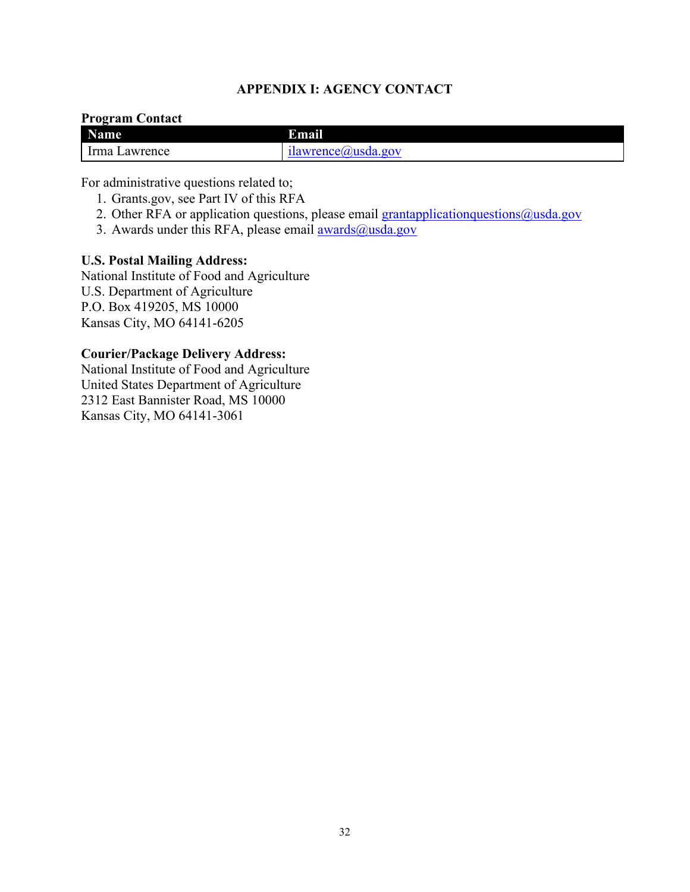### **APPENDIX I: AGENCY CONTACT**

#### <span id="page-31-0"></span>**Program Contact**

| <b>Name</b>     | И<br>mail            |
|-----------------|----------------------|
| 'rma<br>awrence | ilawrence(a)usda.gov |

For administrative questions related to;

- 1. Grants.gov, see Part IV of this RFA
- 2. Other RFA or application questions, please email [grantapplicationquestions@usda.gov](mailto:grantapplicationquestions@usda.gov)
- 3. Awards under this RFA, please email  $\frac{awards(0, usda.gov)}{awards(1, vs.)}$

#### **U.S. Postal Mailing Address:**

National Institute of Food and Agriculture U.S. Department of Agriculture P.O. Box 419205, MS 10000 Kansas City, MO 64141-6205

#### **Courier/Package Delivery Address:**

National Institute of Food and Agriculture United States Department of Agriculture 2312 East Bannister Road, MS 10000 Kansas City, MO 64141-3061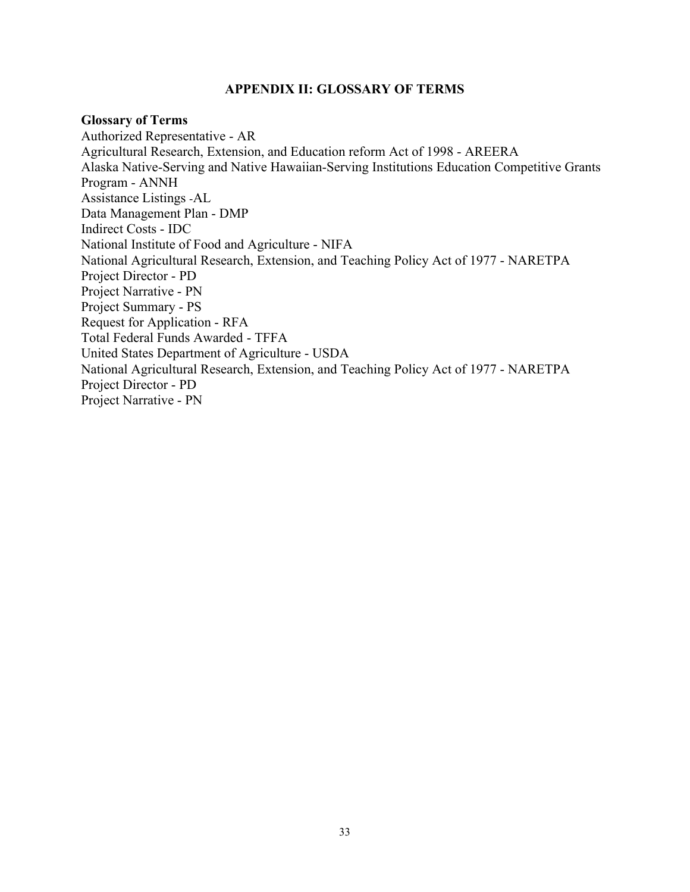#### **APPENDIX II: GLOSSARY OF TERMS**

#### <span id="page-32-0"></span>**Glossary of Terms**

Authorized Representative - AR Agricultural Research, Extension, and Education reform Act of 1998 - AREERA Alaska Native-Serving and Native Hawaiian-Serving Institutions Education Competitive Grants Program - ANNH Assistance Listings -AL Data Management Plan - DMP Indirect Costs - IDC National Institute of Food and Agriculture - NIFA National Agricultural Research, Extension, and Teaching Policy Act of 1977 - NARETPA Project Director - PD Project Narrative - PN Project Summary - PS Request for Application - RFA Total Federal Funds Awarded - TFFA United States Department of Agriculture - USDA National Agricultural Research, Extension, and Teaching Policy Act of 1977 - NARETPA Project Director - PD Project Narrative - PN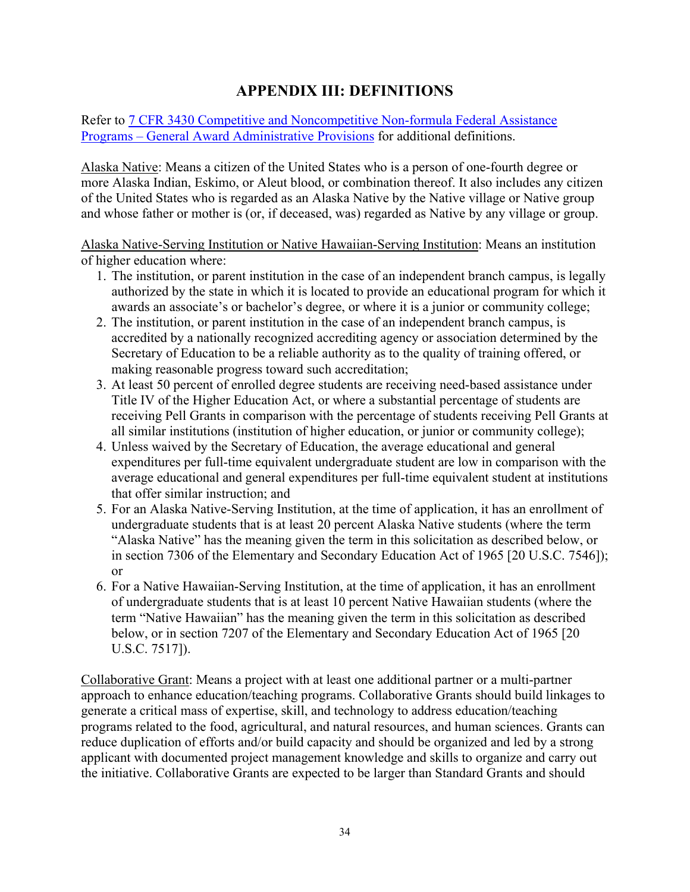### **APPENDIX III: DEFINITIONS**

<span id="page-33-0"></span>Refer to [7 CFR 3430 Competitive and Noncompetitive Non-formula Federal Assistance](https://www.ecfr.gov/current/title-7/subtitle-B/chapter-XXXIV/part-3430)  Programs – [General Award Administrative Provisions](https://www.ecfr.gov/current/title-7/subtitle-B/chapter-XXXIV/part-3430) for additional definitions.

Alaska Native: Means a citizen of the United States who is a person of one-fourth degree or more Alaska Indian, Eskimo, or Aleut blood, or combination thereof. It also includes any citizen of the United States who is regarded as an Alaska Native by the Native village or Native group and whose father or mother is (or, if deceased, was) regarded as Native by any village or group.

Alaska Native-Serving Institution or Native Hawaiian-Serving Institution: Means an institution of higher education where:

- 1. The institution, or parent institution in the case of an independent branch campus, is legally authorized by the state in which it is located to provide an educational program for which it awards an associate's or bachelor's degree, or where it is a junior or community college;
- 2. The institution, or parent institution in the case of an independent branch campus, is accredited by a nationally recognized accrediting agency or association determined by the Secretary of Education to be a reliable authority as to the quality of training offered, or making reasonable progress toward such accreditation;
- 3. At least 50 percent of enrolled degree students are receiving need-based assistance under Title IV of the Higher Education Act, or where a substantial percentage of students are receiving Pell Grants in comparison with the percentage of students receiving Pell Grants at all similar institutions (institution of higher education, or junior or community college);
- 4. Unless waived by the Secretary of Education, the average educational and general expenditures per full-time equivalent undergraduate student are low in comparison with the average educational and general expenditures per full-time equivalent student at institutions that offer similar instruction; and
- 5. For an Alaska Native-Serving Institution, at the time of application, it has an enrollment of undergraduate students that is at least 20 percent Alaska Native students (where the term "Alaska Native" has the meaning given the term in this solicitation as described below, or in section 7306 of the Elementary and Secondary Education Act of 1965 [20 U.S.C. 7546]); or
- 6. For a Native Hawaiian-Serving Institution, at the time of application, it has an enrollment of undergraduate students that is at least 10 percent Native Hawaiian students (where the term "Native Hawaiian" has the meaning given the term in this solicitation as described below, or in section 7207 of the Elementary and Secondary Education Act of 1965 [20 U.S.C. 7517]).

Collaborative Grant: Means a project with at least one additional partner or a multi-partner approach to enhance education/teaching programs. Collaborative Grants should build linkages to generate a critical mass of expertise, skill, and technology to address education/teaching programs related to the food, agricultural, and natural resources, and human sciences. Grants can reduce duplication of efforts and/or build capacity and should be organized and led by a strong applicant with documented project management knowledge and skills to organize and carry out the initiative. Collaborative Grants are expected to be larger than Standard Grants and should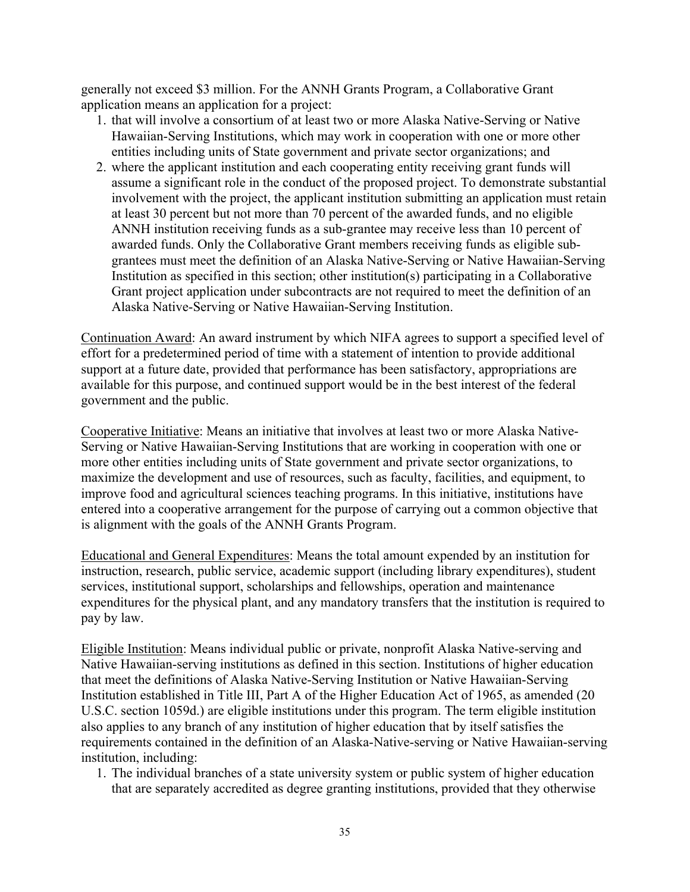generally not exceed \$3 million. For the ANNH Grants Program, a Collaborative Grant application means an application for a project:

- 1. that will involve a consortium of at least two or more Alaska Native-Serving or Native Hawaiian-Serving Institutions, which may work in cooperation with one or more other entities including units of State government and private sector organizations; and
- 2. where the applicant institution and each cooperating entity receiving grant funds will assume a significant role in the conduct of the proposed project. To demonstrate substantial involvement with the project, the applicant institution submitting an application must retain at least 30 percent but not more than 70 percent of the awarded funds, and no eligible ANNH institution receiving funds as a sub-grantee may receive less than 10 percent of awarded funds. Only the Collaborative Grant members receiving funds as eligible subgrantees must meet the definition of an Alaska Native-Serving or Native Hawaiian-Serving Institution as specified in this section; other institution(s) participating in a Collaborative Grant project application under subcontracts are not required to meet the definition of an Alaska Native-Serving or Native Hawaiian-Serving Institution.

Continuation Award: An award instrument by which NIFA agrees to support a specified level of effort for a predetermined period of time with a statement of intention to provide additional support at a future date, provided that performance has been satisfactory, appropriations are available for this purpose, and continued support would be in the best interest of the federal government and the public.

Cooperative Initiative: Means an initiative that involves at least two or more Alaska Native-Serving or Native Hawaiian-Serving Institutions that are working in cooperation with one or more other entities including units of State government and private sector organizations, to maximize the development and use of resources, such as faculty, facilities, and equipment, to improve food and agricultural sciences teaching programs. In this initiative, institutions have entered into a cooperative arrangement for the purpose of carrying out a common objective that is alignment with the goals of the ANNH Grants Program.

Educational and General Expenditures: Means the total amount expended by an institution for instruction, research, public service, academic support (including library expenditures), student services, institutional support, scholarships and fellowships, operation and maintenance expenditures for the physical plant, and any mandatory transfers that the institution is required to pay by law.

Eligible Institution: Means individual public or private, nonprofit Alaska Native-serving and Native Hawaiian-serving institutions as defined in this section. Institutions of higher education that meet the definitions of Alaska Native-Serving Institution or Native Hawaiian-Serving Institution established in Title III, Part A of the Higher Education Act of 1965, as amended (20 U.S.C. section 1059d.) are eligible institutions under this program. The term eligible institution also applies to any branch of any institution of higher education that by itself satisfies the requirements contained in the definition of an Alaska-Native-serving or Native Hawaiian-serving institution, including:

1. The individual branches of a state university system or public system of higher education that are separately accredited as degree granting institutions, provided that they otherwise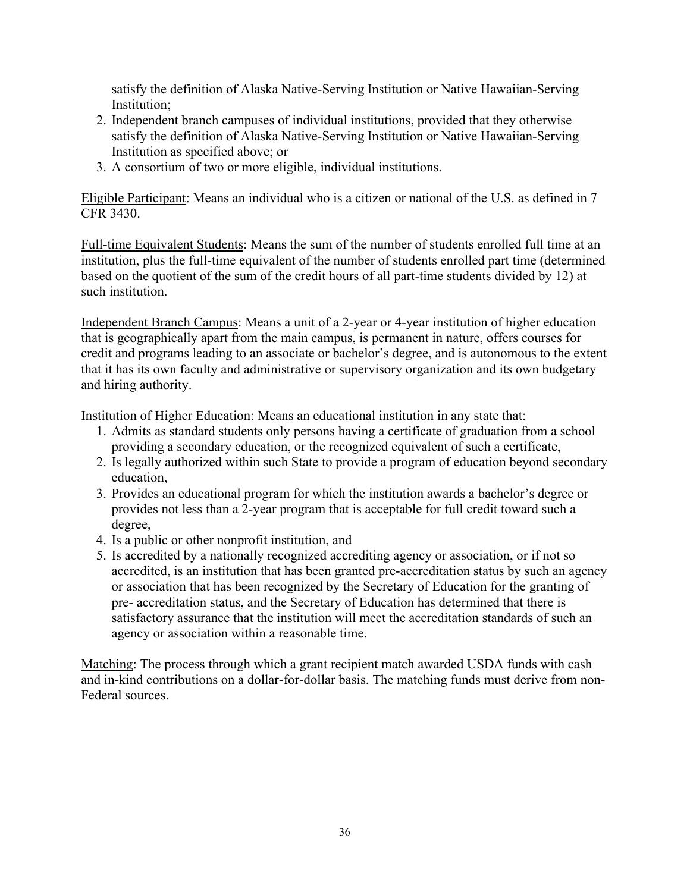satisfy the definition of Alaska Native-Serving Institution or Native Hawaiian-Serving Institution;

- 2. Independent branch campuses of individual institutions, provided that they otherwise satisfy the definition of Alaska Native-Serving Institution or Native Hawaiian-Serving Institution as specified above; or
- 3. A consortium of two or more eligible, individual institutions.

Eligible Participant: Means an individual who is a citizen or national of the U.S. as defined in 7 CFR 3430.

Full-time Equivalent Students: Means the sum of the number of students enrolled full time at an institution, plus the full-time equivalent of the number of students enrolled part time (determined based on the quotient of the sum of the credit hours of all part-time students divided by 12) at such institution.

Independent Branch Campus: Means a unit of a 2-year or 4-year institution of higher education that is geographically apart from the main campus, is permanent in nature, offers courses for credit and programs leading to an associate or bachelor's degree, and is autonomous to the extent that it has its own faculty and administrative or supervisory organization and its own budgetary and hiring authority.

Institution of Higher Education: Means an educational institution in any state that:

- 1. Admits as standard students only persons having a certificate of graduation from a school providing a secondary education, or the recognized equivalent of such a certificate,
- 2. Is legally authorized within such State to provide a program of education beyond secondary education,
- 3. Provides an educational program for which the institution awards a bachelor's degree or provides not less than a 2-year program that is acceptable for full credit toward such a degree,
- 4. Is a public or other nonprofit institution, and
- 5. Is accredited by a nationally recognized accrediting agency or association, or if not so accredited, is an institution that has been granted pre-accreditation status by such an agency or association that has been recognized by the Secretary of Education for the granting of pre- accreditation status, and the Secretary of Education has determined that there is satisfactory assurance that the institution will meet the accreditation standards of such an agency or association within a reasonable time.

Matching: The process through which a grant recipient match awarded USDA funds with cash and in-kind contributions on a dollar-for-dollar basis. The matching funds must derive from non-Federal sources.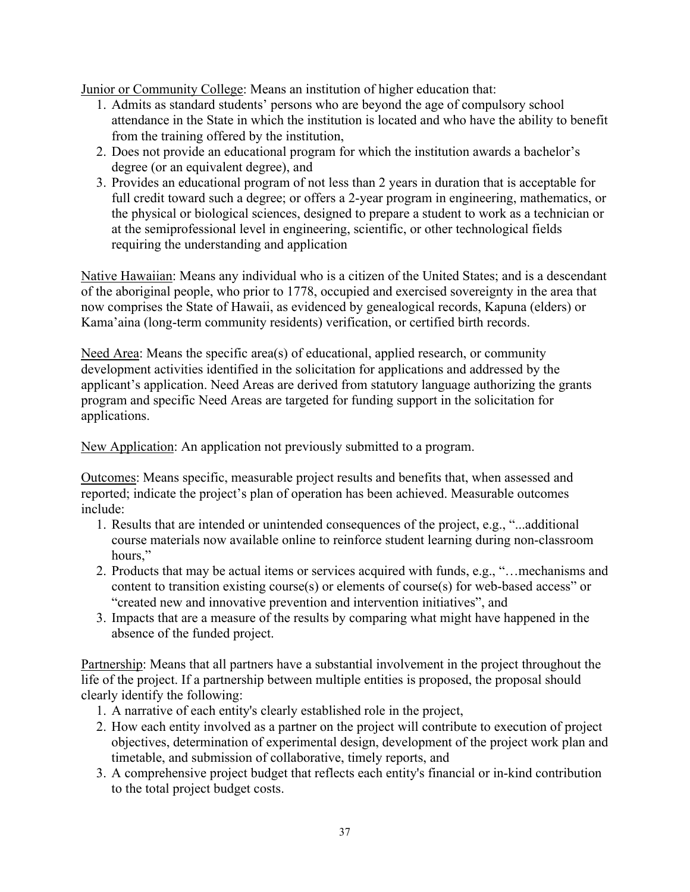Junior or Community College: Means an institution of higher education that:

- 1. Admits as standard students' persons who are beyond the age of compulsory school attendance in the State in which the institution is located and who have the ability to benefit from the training offered by the institution,
- 2. Does not provide an educational program for which the institution awards a bachelor's degree (or an equivalent degree), and
- 3. Provides an educational program of not less than 2 years in duration that is acceptable for full credit toward such a degree; or offers a 2-year program in engineering, mathematics, or the physical or biological sciences, designed to prepare a student to work as a technician or at the semiprofessional level in engineering, scientific, or other technological fields requiring the understanding and application

Native Hawaiian: Means any individual who is a citizen of the United States; and is a descendant of the aboriginal people, who prior to 1778, occupied and exercised sovereignty in the area that now comprises the State of Hawaii, as evidenced by genealogical records, Kapuna (elders) or Kama'aina (long-term community residents) verification, or certified birth records.

Need Area: Means the specific area(s) of educational, applied research, or community development activities identified in the solicitation for applications and addressed by the applicant's application. Need Areas are derived from statutory language authorizing the grants program and specific Need Areas are targeted for funding support in the solicitation for applications.

New Application: An application not previously submitted to a program.

Outcomes: Means specific, measurable project results and benefits that, when assessed and reported; indicate the project's plan of operation has been achieved. Measurable outcomes include:

- 1. Results that are intended or unintended consequences of the project, e.g., "...additional course materials now available online to reinforce student learning during non-classroom hours,"
- 2. Products that may be actual items or services acquired with funds, e.g., "…mechanisms and content to transition existing course(s) or elements of course(s) for web-based access" or "created new and innovative prevention and intervention initiatives", and
- 3. Impacts that are a measure of the results by comparing what might have happened in the absence of the funded project.

Partnership: Means that all partners have a substantial involvement in the project throughout the life of the project. If a partnership between multiple entities is proposed, the proposal should clearly identify the following:

- 1. A narrative of each entity's clearly established role in the project,
- 2. How each entity involved as a partner on the project will contribute to execution of project objectives, determination of experimental design, development of the project work plan and timetable, and submission of collaborative, timely reports, and
- 3. A comprehensive project budget that reflects each entity's financial or in-kind contribution to the total project budget costs.